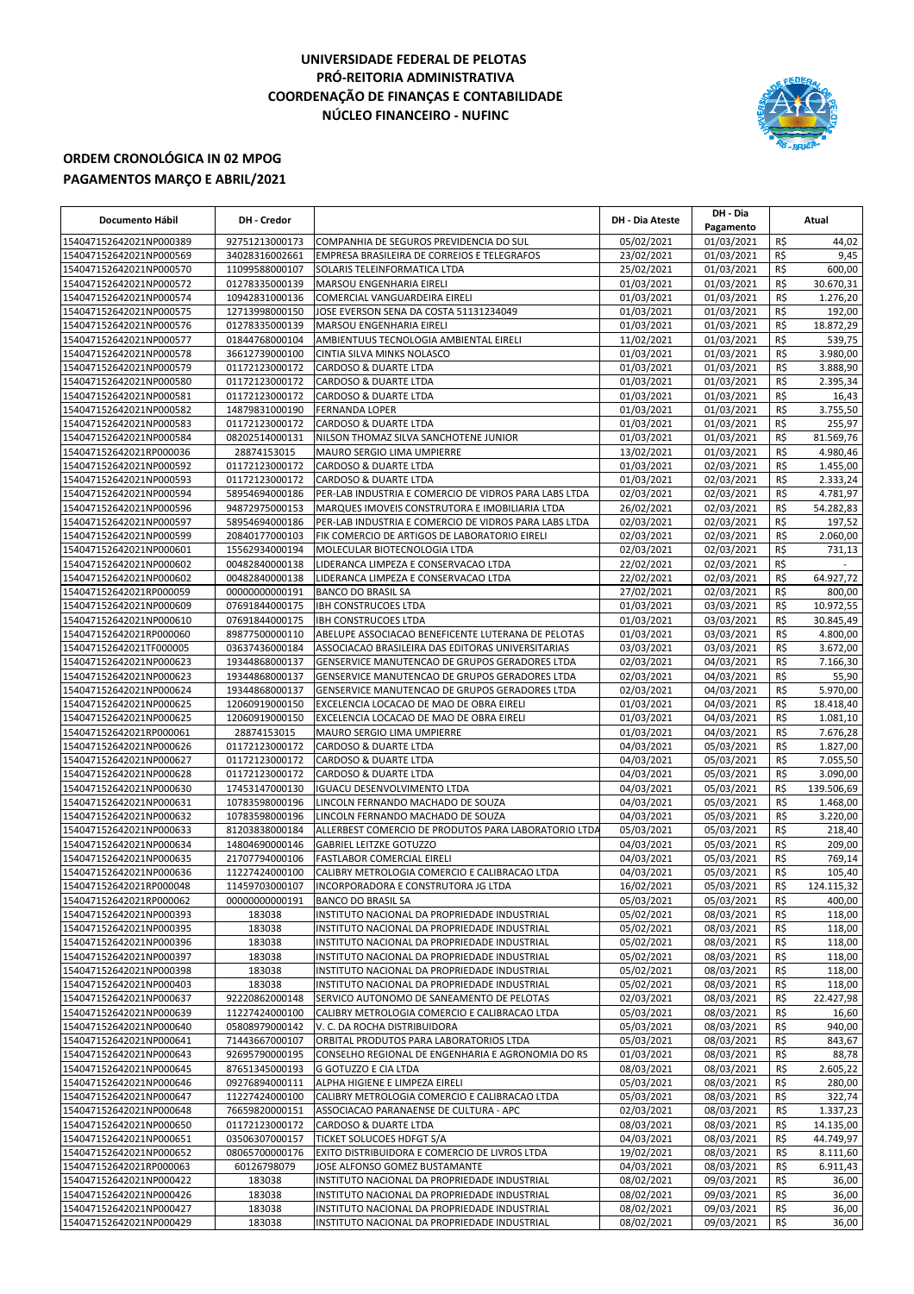## **UNIVERSIDADE FEDERAL DE PELOTAS PRÓ-REITORIA ADMINISTRATIVA COORDENAÇÃO DE FINANÇAS E CONTABILIDADE NÚCLEO FINANCEIRO - NUFINC**



## **ORDEM CRONOLÓGICA IN 02 MPOG PAGAMENTOS MARÇO E ABRIL/2021**

| Documento Hábil                                    | DH - Credor                      |                                                                                              | DH - Dia Ateste          | DH - Dia<br>Pagamento    | Atual      |                        |
|----------------------------------------------------|----------------------------------|----------------------------------------------------------------------------------------------|--------------------------|--------------------------|------------|------------------------|
| 154047152642021NP000389                            | 92751213000173                   | COMPANHIA DE SEGUROS PREVIDENCIA DO SUL                                                      | 05/02/2021               | 01/03/2021               | R\$        | 44,02                  |
| 154047152642021NP000569                            | 34028316002661                   | EMPRESA BRASILEIRA DE CORREIOS E TELEGRAFOS                                                  | 23/02/2021               | 01/03/2021               | R\$        | 9,45                   |
| 154047152642021NP000570                            | 11099588000107                   | SOLARIS TELEINFORMATICA LTDA                                                                 | 25/02/2021               | 01/03/2021               | R\$        | 600,00                 |
| 154047152642021NP000572                            | 01278335000139                   | MARSOU ENGENHARIA EIRELI                                                                     | 01/03/2021               | 01/03/2021               | R\$        | 30.670,31              |
| 154047152642021NP000574                            | 10942831000136                   | COMERCIAL VANGUARDEIRA EIRELI                                                                | 01/03/2021               | 01/03/2021               | R\$        | 1.276,20               |
| 154047152642021NP000575                            | 12713998000150                   | JOSE EVERSON SENA DA COSTA 51131234049                                                       | 01/03/2021               | 01/03/2021               | R\$        | 192,00                 |
| 154047152642021NP000576                            | 01278335000139                   | MARSOU ENGENHARIA EIRELI                                                                     | 01/03/2021               | 01/03/2021               | R\$        | 18.872,29              |
| 154047152642021NP000577                            | 01844768000104                   | AMBIENTUUS TECNOLOGIA AMBIENTAL EIRELI                                                       | 11/02/2021               | 01/03/2021               | R\$        | 539,75                 |
| 154047152642021NP000578                            | 36612739000100                   | CINTIA SILVA MINKS NOLASCO                                                                   | 01/03/2021               | 01/03/2021               | R\$        | 3.980,00               |
| 154047152642021NP000579<br>154047152642021NP000580 | 01172123000172                   | CARDOSO & DUARTE LTDA                                                                        | 01/03/2021               | 01/03/2021<br>01/03/2021 | R\$<br>R\$ | 3.888,90<br>2.395,34   |
| 154047152642021NP000581                            | 01172123000172<br>01172123000172 | CARDOSO & DUARTE LTDA<br>CARDOSO & DUARTE LTDA                                               | 01/03/2021<br>01/03/2021 | 01/03/2021               | R\$        | 16,43                  |
| 154047152642021NP000582                            | 14879831000190                   | <b>FERNANDA LOPER</b>                                                                        | 01/03/2021               | 01/03/2021               | R\$        | 3.755,50               |
| 154047152642021NP000583                            | 01172123000172                   | CARDOSO & DUARTE LTDA                                                                        | 01/03/2021               | 01/03/2021               | R\$        | 255,97                 |
| 154047152642021NP000584                            | 08202514000131                   | NILSON THOMAZ SILVA SANCHOTENE JUNIOR                                                        | 01/03/2021               | 01/03/2021               | R\$        | 81.569,76              |
| 154047152642021RP000036                            | 28874153015                      | <b>MAURO SERGIO LIMA UMPIERRE</b>                                                            | 13/02/2021               | 01/03/2021               | R\$        | 4.980,46               |
| 154047152642021NP000592                            | 01172123000172                   | <b>CARDOSO &amp; DUARTE LTDA</b>                                                             | 01/03/2021               | 02/03/2021               | R\$        | 1.455,00               |
| 154047152642021NP000593                            | 01172123000172                   | <b>CARDOSO &amp; DUARTE LTDA</b>                                                             | 01/03/2021               | 02/03/2021               | R\$        | 2.333,24               |
| 154047152642021NP000594                            | 58954694000186                   | PER-LAB INDUSTRIA E COMERCIO DE VIDROS PARA LABS LTDA                                        | 02/03/2021               | 02/03/2021               | R\$        | 4.781,97               |
| 154047152642021NP000596                            | 94872975000153                   | MARQUES IMOVEIS CONSTRUTORA E IMOBILIARIA LTDA                                               | 26/02/2021               | 02/03/2021               | R\$        | 54.282,83              |
| 154047152642021NP000597                            | 58954694000186                   | PER-LAB INDUSTRIA E COMERCIO DE VIDROS PARA LABS LTDA                                        | 02/03/2021               | 02/03/2021               | R\$        | 197,52                 |
| 154047152642021NP000599                            | 20840177000103                   | FIK COMERCIO DE ARTIGOS DE LABORATORIO EIRELI                                                | 02/03/2021               | 02/03/2021               | R\$        | 2.060,00               |
| 154047152642021NP000601                            | 15562934000194                   | MOLECULAR BIOTECNOLOGIA LTDA                                                                 | 02/03/2021               | 02/03/2021               | R\$        | 731,13                 |
| 154047152642021NP000602                            | 00482840000138                   | LIDERANCA LIMPEZA E CONSERVACAO LTDA                                                         | 22/02/2021               | 02/03/2021               | R\$        |                        |
| 154047152642021NP000602                            | 00482840000138                   | LIDERANCA LIMPEZA E CONSERVACAO LTDA                                                         | 22/02/2021               | 02/03/2021               | R\$        | 64.927.72              |
| 154047152642021RP000059                            | 00000000000191<br>07691844000175 | <b>BANCO DO BRASIL SA</b>                                                                    | 27/02/2021               | 02/03/2021<br>03/03/2021 | R\$<br>R\$ | 800,00                 |
| 154047152642021NP000609<br>154047152642021NP000610 | 07691844000175                   | <b>IBH CONSTRUCOES LTDA</b><br><b>IBH CONSTRUCOES LTDA</b>                                   | 01/03/2021<br>01/03/2021 | 03/03/2021               | R\$        | 10.972,55<br>30.845,49 |
| 154047152642021RP000060                            | 89877500000110                   | ABELUPE ASSOCIACAO BENEFICENTE LUTERANA DE PELOTAS                                           | 01/03/2021               | 03/03/2021               | R\$        | 4.800,00               |
| 154047152642021TF000005                            | 03637436000184                   | ASSOCIACAO BRASILEIRA DAS EDITORAS UNIVERSITARIAS                                            | 03/03/2021               | 03/03/2021               | R\$        | 3.672,00               |
| 154047152642021NP000623                            | 19344868000137                   | GENSERVICE MANUTENCAO DE GRUPOS GERADORES LTDA                                               | 02/03/2021               | 04/03/2021               | R\$        | 7.166,30               |
| 154047152642021NP000623                            | 19344868000137                   | GENSERVICE MANUTENCAO DE GRUPOS GERADORES LTDA                                               | 02/03/2021               | 04/03/2021               | R\$        | 55,90                  |
| 154047152642021NP000624                            | 19344868000137                   | GENSERVICE MANUTENCAO DE GRUPOS GERADORES LTDA                                               | 02/03/2021               | 04/03/2021               | R\$        | 5.970,00               |
| 154047152642021NP000625                            | 12060919000150                   | EXCELENCIA LOCACAO DE MAO DE OBRA EIRELI                                                     | 01/03/2021               | 04/03/2021               | R\$        | 18.418,40              |
| 154047152642021NP000625                            | 12060919000150                   | EXCELENCIA LOCACAO DE MAO DE OBRA EIRELI                                                     | 01/03/2021               | 04/03/2021               | R\$        | 1.081,10               |
| 154047152642021RP000061                            | 28874153015                      | MAURO SERGIO LIMA UMPIERRE                                                                   | 01/03/2021               | 04/03/2021               | R\$        | 7.676,28               |
| 154047152642021NP000626                            | 01172123000172                   | CARDOSO & DUARTE LTDA                                                                        | 04/03/2021               | 05/03/2021               | R\$        | 1.827,00               |
| 154047152642021NP000627<br>154047152642021NP000628 | 01172123000172<br>01172123000172 | <b>CARDOSO &amp; DUARTE LTDA</b><br>CARDOSO & DUARTE LTDA                                    | 04/03/2021<br>04/03/2021 | 05/03/2021<br>05/03/2021 | R\$<br>R\$ | 7.055,50<br>3.090,00   |
| 154047152642021NP000630                            | 17453147000130                   | <b>IGUACU DESENVOLVIMENTO LTDA</b>                                                           | 04/03/2021               | 05/03/2021               | R\$        | 139.506,69             |
| 154047152642021NP000631                            | 10783598000196                   | LINCOLN FERNANDO MACHADO DE SOUZA                                                            | 04/03/2021               | 05/03/2021               | R\$        | 1.468,00               |
| 154047152642021NP000632                            | 10783598000196                   | LINCOLN FERNANDO MACHADO DE SOUZA                                                            | 04/03/2021               | 05/03/2021               | R\$        | 3.220,00               |
| 154047152642021NP000633                            | 81203838000184                   | ALLERBEST COMERCIO DE PRODUTOS PARA LABORATORIO LTDA                                         | 05/03/2021               | 05/03/2021               | R\$        | 218,40                 |
| 154047152642021NP000634                            | 14804690000146                   | <b>GABRIEL LEITZKE GOTUZZO</b>                                                               | 04/03/2021               | 05/03/2021               | R\$        | 209,00                 |
| 154047152642021NP000635                            | 21707794000106                   | FASTLABOR COMERCIAL EIRELI                                                                   | 04/03/2021               | 05/03/2021               | R\$        | 769,14                 |
| 154047152642021NP000636                            | 11227424000100                   | CALIBRY METROLOGIA COMERCIO E CALIBRACAO LTDA                                                | 04/03/2021               | 05/03/2021               | R\$        | 105,40                 |
| 154047152642021RP000048                            | 11459703000107                   | INCORPORADORA E CONSTRUTORA JG LTDA                                                          | 16/02/2021               | 05/03/2021               | R\$        | 124.115,32             |
| 154047152642021RP000062                            | 00000000000191                   | <b>BANCO DO BRASIL SA</b>                                                                    | 05/03/2021               | 05/03/2021               | R\$        | 400,00                 |
| 154047152642021NP000393                            | 183038                           | INSTITUTO NACIONAL DA PROPRIEDADE INDUSTRIAL                                                 | 05/02/2021               | 08/03/2021               | R\$        | 118,00                 |
| 154047152642021NP000395                            | 183038                           | INSTITUTO NACIONAL DA PROPRIEDADE INDUSTRIAL                                                 | 05/02/2021               | 08/03/2021               | R\$        | 118,00                 |
| 154047152642021NP000396<br>154047152642021NP000397 | 183038<br>183038                 | INSTITUTO NACIONAL DA PROPRIEDADE INDUSTRIAL<br>INSTITUTO NACIONAL DA PROPRIEDADE INDUSTRIAL | 05/02/2021<br>05/02/2021 | 08/03/2021<br>08/03/2021 | R\$<br>R\$ | 118,00<br>118,00       |
| 154047152642021NP000398                            | 183038                           | INSTITUTO NACIONAL DA PROPRIEDADE INDUSTRIAL                                                 | 05/02/2021               | 08/03/2021               | R\$        | 118,00                 |
| 154047152642021NP000403                            | 183038                           | INSTITUTO NACIONAL DA PROPRIEDADE INDUSTRIAL                                                 | 05/02/2021               | 08/03/2021               | R\$        | 118,00                 |
| 154047152642021NP000637                            | 92220862000148                   | SERVICO AUTONOMO DE SANEAMENTO DE PELOTAS                                                    | 02/03/2021               | 08/03/2021               | R\$        | 22.427,98              |
| 154047152642021NP000639                            | 11227424000100                   | CALIBRY METROLOGIA COMERCIO E CALIBRACAO LTDA                                                | 05/03/2021               | 08/03/2021               | R\$        | 16,60                  |
| 154047152642021NP000640                            | 05808979000142                   | V. C. DA ROCHA DISTRIBUIDORA                                                                 | 05/03/2021               | 08/03/2021               | R\$        | 940,00                 |
| 154047152642021NP000641                            | 71443667000107                   | ORBITAL PRODUTOS PARA LABORATORIOS LTDA                                                      | 05/03/2021               | 08/03/2021               | R\$        | 843,67                 |
| 154047152642021NP000643                            | 92695790000195                   | CONSELHO REGIONAL DE ENGENHARIA E AGRONOMIA DO RS                                            | 01/03/2021               | 08/03/2021               | R\$        | 88,78                  |
| 154047152642021NP000645                            | 87651345000193                   | G GOTUZZO E CIA LTDA                                                                         | 08/03/2021               | 08/03/2021               | R\$        | 2.605,22               |
| 154047152642021NP000646<br>154047152642021NP000647 | 09276894000111<br>11227424000100 | ALPHA HIGIENE E LIMPEZA EIRELI<br>CALIBRY METROLOGIA COMERCIO E CALIBRACAO LTDA              | 05/03/2021<br>05/03/2021 | 08/03/2021<br>08/03/2021 | R\$<br>R\$ | 280,00<br>322,74       |
| 154047152642021NP000648                            | 76659820000151                   | ASSOCIACAO PARANAENSE DE CULTURA - APC                                                       | 02/03/2021               | 08/03/2021               | R\$        | 1.337,23               |
| 154047152642021NP000650                            | 01172123000172                   | CARDOSO & DUARTE LTDA                                                                        | 08/03/2021               | 08/03/2021               | R\$        | 14.135,00              |
| 154047152642021NP000651                            | 03506307000157                   | TICKET SOLUCOES HDFGT S/A                                                                    | 04/03/2021               | 08/03/2021               | R\$        | 44.749,97              |
| 154047152642021NP000652                            | 08065700000176                   | EXITO DISTRIBUIDORA E COMERCIO DE LIVROS LTDA                                                | 19/02/2021               | 08/03/2021               | R\$        | 8.111,60               |
| 154047152642021RP000063                            | 60126798079                      | JOSE ALFONSO GOMEZ BUSTAMANTE                                                                | 04/03/2021               | 08/03/2021               | R\$        | 6.911,43               |
| 154047152642021NP000422                            | 183038                           | INSTITUTO NACIONAL DA PROPRIEDADE INDUSTRIAL                                                 | 08/02/2021               | 09/03/2021               | R\$        | 36,00                  |
| 154047152642021NP000426                            | 183038                           | INSTITUTO NACIONAL DA PROPRIEDADE INDUSTRIAL                                                 | 08/02/2021               | 09/03/2021               | R\$        | 36,00                  |
| 154047152642021NP000427                            | 183038                           | INSTITUTO NACIONAL DA PROPRIEDADE INDUSTRIAL                                                 | 08/02/2021               | 09/03/2021               | R\$        | 36,00                  |
| 154047152642021NP000429                            | 183038                           | INSTITUTO NACIONAL DA PROPRIEDADE INDUSTRIAL                                                 | 08/02/2021               | 09/03/2021               | R\$        | 36,00                  |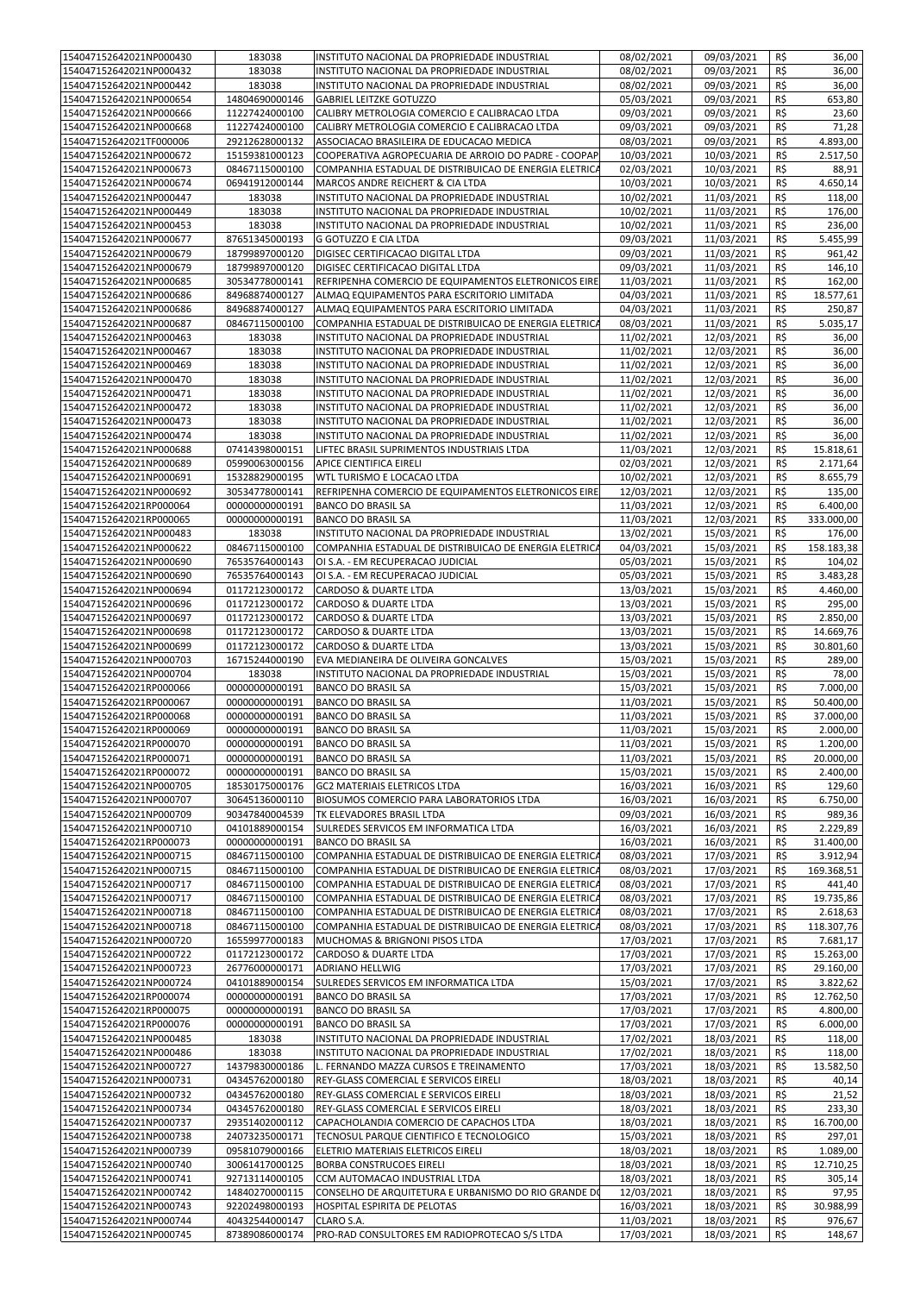| 154047152642021NP000430                            | 183038                           | INSTITUTO NACIONAL DA PROPRIEDADE INDUSTRIAL                | 08/02/2021               | 09/03/2021               | R\$        | 36,00            |
|----------------------------------------------------|----------------------------------|-------------------------------------------------------------|--------------------------|--------------------------|------------|------------------|
| 154047152642021NP000432                            | 183038                           |                                                             |                          |                          | R\$        |                  |
|                                                    |                                  | INSTITUTO NACIONAL DA PROPRIEDADE INDUSTRIAL                | 08/02/2021               | 09/03/2021               |            | 36,00            |
| 154047152642021NP000442                            | 183038                           | INSTITUTO NACIONAL DA PROPRIEDADE INDUSTRIAL                | 08/02/2021               | 09/03/2021               | R\$        | 36,00            |
| 154047152642021NP000654                            | 14804690000146                   | <b>GABRIEL LEITZKE GOTUZZO</b>                              | 05/03/2021               | 09/03/2021               | R\$        | 653,80           |
| 154047152642021NP000666                            | 11227424000100                   | CALIBRY METROLOGIA COMERCIO E CALIBRACAO LTDA               | 09/03/2021               | 09/03/2021               | R\$        | 23,60            |
|                                                    |                                  |                                                             |                          |                          |            |                  |
| 154047152642021NP000668                            | 11227424000100                   | CALIBRY METROLOGIA COMERCIO E CALIBRACAO LTDA               | 09/03/2021               | 09/03/2021               | R\$        | 71,28            |
| 154047152642021TF000006                            | 29212628000132                   | ASSOCIACAO BRASILEIRA DE EDUCACAO MEDICA                    | 08/03/2021               | 09/03/2021               | R\$        | 4.893,00         |
| 154047152642021NP000672                            | 15159381000123                   | COOPERATIVA AGROPECUARIA DE ARROIO DO PADRE - COOPAP        | 10/03/2021               | 10/03/2021               | R\$        | 2.517,50         |
| 154047152642021NP000673                            | 08467115000100                   | COMPANHIA ESTADUAL DE DISTRIBUICAO DE ENERGIA ELETRICA      | 02/03/2021               | 10/03/2021               | R\$        | 88,91            |
|                                                    |                                  |                                                             |                          |                          |            |                  |
| 154047152642021NP000674                            | 06941912000144                   | MARCOS ANDRE REICHERT & CIA LTDA                            | 10/03/2021               | 10/03/2021               | R\$        | 4.650,14         |
| 154047152642021NP000447                            | 183038                           | INSTITUTO NACIONAL DA PROPRIEDADE INDUSTRIAL                | 10/02/2021               | 11/03/2021               | R\$        | 118,00           |
| 154047152642021NP000449                            | 183038                           | INSTITUTO NACIONAL DA PROPRIEDADE INDUSTRIAL                | 10/02/2021               | 11/03/2021               | R\$        | 176,00           |
|                                                    |                                  |                                                             |                          |                          |            |                  |
| 154047152642021NP000453                            | 183038                           | INSTITUTO NACIONAL DA PROPRIEDADE INDUSTRIAL                | 10/02/2021               | 11/03/2021               | R\$        | 236,00           |
| 154047152642021NP000677                            | 87651345000193                   | <b>G GOTUZZO E CIA LTDA</b>                                 | 09/03/2021               | 11/03/2021               | R\$        | 5.455,99         |
| 154047152642021NP000679                            | 18799897000120                   | DIGISEC CERTIFICACAO DIGITAL LTDA                           | 09/03/2021               | 11/03/2021               | R\$        | 961,42           |
| 154047152642021NP000679                            | 18799897000120                   | DIGISEC CERTIFICACAO DIGITAL LTDA                           | 09/03/2021               | 11/03/2021               | R\$        | 146,10           |
|                                                    |                                  |                                                             |                          |                          |            |                  |
| 154047152642021NP000685                            | 30534778000141                   | REFRIPENHA COMERCIO DE EQUIPAMENTOS ELETRONICOS EIRE        | 11/03/2021               | 11/03/2021               | R\$        | 162,00           |
| 154047152642021NP000686                            | 84968874000127                   | ALMAQ EQUIPAMENTOS PARA ESCRITORIO LIMITADA                 | 04/03/2021               | 11/03/2021               | R\$        | 18.577,61        |
| 154047152642021NP000686                            | 84968874000127                   | ALMAQ EQUIPAMENTOS PARA ESCRITORIO LIMITADA                 | 04/03/2021               | 11/03/2021               | R\$        | 250,87           |
| 154047152642021NP000687                            | 08467115000100                   | COMPANHIA ESTADUAL DE DISTRIBUICAO DE ENERGIA ELETRICA      | 08/03/2021               | 11/03/2021               | R\$        | 5.035,17         |
|                                                    |                                  |                                                             |                          |                          |            |                  |
| 154047152642021NP000463                            | 183038                           | INSTITUTO NACIONAL DA PROPRIEDADE INDUSTRIAL                | 11/02/2021               | 12/03/2021               | R\$        | 36,00            |
| 154047152642021NP000467                            | 183038                           | INSTITUTO NACIONAL DA PROPRIEDADE INDUSTRIAL                | 11/02/2021               | 12/03/2021               | R\$        | 36,00            |
| 154047152642021NP000469                            | 183038                           | INSTITUTO NACIONAL DA PROPRIEDADE INDUSTRIAL                | 11/02/2021               | 12/03/2021               | R\$        | 36,00            |
| 154047152642021NP000470                            |                                  |                                                             | 11/02/2021               |                          |            |                  |
|                                                    | 183038                           | INSTITUTO NACIONAL DA PROPRIEDADE INDUSTRIAL                |                          | 12/03/2021               | R\$        | 36,00            |
| 154047152642021NP000471                            | 183038                           | INSTITUTO NACIONAL DA PROPRIEDADE INDUSTRIAL                | 11/02/2021               | 12/03/2021               | R\$        | 36,00            |
| 154047152642021NP000472                            | 183038                           | INSTITUTO NACIONAL DA PROPRIEDADE INDUSTRIAL                | 11/02/2021               | 12/03/2021               | R\$        | 36,00            |
| 154047152642021NP000473                            | 183038                           | INSTITUTO NACIONAL DA PROPRIEDADE INDUSTRIAL                | 11/02/2021               | 12/03/2021               | R\$        | 36,00            |
|                                                    |                                  |                                                             |                          |                          |            |                  |
| 154047152642021NP000474                            | 183038                           | INSTITUTO NACIONAL DA PROPRIEDADE INDUSTRIAL                | 11/02/2021               | 12/03/2021               | R\$        | 36,00            |
| 154047152642021NP000688                            | 07414398000151                   | LIFTEC BRASIL SUPRIMENTOS INDUSTRIAIS LTDA                  | 11/03/2021               | 12/03/2021               | R\$        | 15.818,61        |
| 154047152642021NP000689                            | 05990063000156                   | APICE CIENTIFICA EIRELI                                     | 02/03/2021               | 12/03/2021               | R\$        | 2.171,64         |
| 154047152642021NP000691                            | 15328829000195                   | WTL TURISMO E LOCACAO LTDA                                  | 10/02/2021               | 12/03/2021               | R\$        | 8.655,79         |
|                                                    |                                  |                                                             |                          |                          |            |                  |
| 154047152642021NP000692                            | 30534778000141                   | REFRIPENHA COMERCIO DE EQUIPAMENTOS ELETRONICOS EIRE        | 12/03/2021               | 12/03/2021               | R\$        | 135,00           |
| 154047152642021RP000064                            | 00000000000191                   | <b>BANCO DO BRASIL SA</b>                                   | 11/03/2021               | 12/03/2021               | R\$        | 6.400,00         |
| 154047152642021RP000065                            | 00000000000191                   | <b>BANCO DO BRASIL SA</b>                                   | 11/03/2021               | 12/03/2021               | R\$        | 333.000,00       |
|                                                    |                                  |                                                             |                          |                          |            |                  |
| 154047152642021NP000483                            | 183038                           | INSTITUTO NACIONAL DA PROPRIEDADE INDUSTRIAL                | 13/02/2021               | 15/03/2021               | R\$        | 176,00           |
| 154047152642021NP000622                            | 08467115000100                   | COMPANHIA ESTADUAL DE DISTRIBUICAO DE ENERGIA ELETRICA      | 04/03/2021               | 15/03/2021               | R\$        | 158.183,38       |
| 154047152642021NP000690                            | 76535764000143                   | OI S.A. - EM RECUPERACAO JUDICIAL                           | 05/03/2021               | 15/03/2021               | R\$        | 104,02           |
| 154047152642021NP000690                            | 76535764000143                   | OI S.A. - EM RECUPERACAO JUDICIAL                           | 05/03/2021               | 15/03/2021               | R\$        | 3.483,28         |
|                                                    |                                  |                                                             |                          |                          |            |                  |
| 154047152642021NP000694                            | 01172123000172                   | CARDOSO & DUARTE LTDA                                       | 13/03/2021               | 15/03/2021               | R\$        | 4.460,00         |
| 154047152642021NP000696                            | 01172123000172                   | <b>CARDOSO &amp; DUARTE LTDA</b>                            | 13/03/2021               | 15/03/2021               | R\$        | 295,00           |
| 154047152642021NP000697                            | 01172123000172                   | CARDOSO & DUARTE LTDA                                       | 13/03/2021               | 15/03/2021               | R\$        | 2.850,00         |
| 154047152642021NP000698                            | 01172123000172                   | <b>CARDOSO &amp; DUARTE LTDA</b>                            | 13/03/2021               | 15/03/2021               | R\$        | 14.669,76        |
|                                                    |                                  |                                                             |                          |                          |            |                  |
| 154047152642021NP000699                            | 01172123000172                   | CARDOSO & DUARTE LTDA                                       | 13/03/2021               | 15/03/2021               | R\$        | 30.801,60        |
| 154047152642021NP000703                            | 16715244000190                   | EVA MEDIANEIRA DE OLIVEIRA GONCALVES                        | 15/03/2021               | 15/03/2021               | R\$        | 289,00           |
| 154047152642021NP000704                            | 183038                           | INSTITUTO NACIONAL DA PROPRIEDADE INDUSTRIAL                | 15/03/2021               | 15/03/2021               | R\$        | 78,00            |
|                                                    |                                  |                                                             |                          | 15/03/2021               |            |                  |
| 154047152642021RP000066                            | 00000000000191                   | <b>BANCO DO BRASIL SA</b>                                   | 15/03/2021               |                          | R\$        | 7.000,00         |
| 154047152642021RP000067                            | 00000000000191                   | <b>BANCO DO BRASIL SA</b>                                   | 11/03/2021               | 15/03/2021               | R\$        | 50.400,00        |
| 154047152642021RP000068                            | 00000000000191                   | <b>BANCO DO BRASIL SA</b>                                   | 11/03/2021               | 15/03/2021               | R\$        | 37.000,00        |
| 154047152642021RP000069                            | 00000000000191                   | <b>BANCO DO BRASIL SA</b>                                   | 11/03/2021               | 15/03/2021               | R\$        | 2.000,00         |
|                                                    |                                  |                                                             |                          |                          |            |                  |
| 154047152642021RP000070                            | 00000000000191                   | <b>BANCO DO BRASIL SA</b>                                   | 11/03/2021               | 15/03/2021               | R\$        | 1.200,00         |
| 154047152642021RP000071                            | 00000000000191                   | <b>BANCO DO BRASIL SA</b>                                   | 11/03/2021               | 15/03/2021               | R\$        | 20.000,00        |
| 154047152642021RP000072                            | 00000000000191                   | <b>BANCO DO BRASIL SA</b>                                   | 15/03/2021               | 15/03/2021               | R\$        | 2.400,00         |
| 154047152642021NP000705                            | 18530175000176                   | <b>GC2 MATERIAIS ELETRICOS LTDA</b>                         | 16/03/2021               | 16/03/2021               | R\$        | 129,60           |
|                                                    |                                  |                                                             |                          |                          |            |                  |
| 154047152642021NP000707                            | 30645136000110                   | BIOSUMOS COMERCIO PARA LABORATORIOS LTDA                    | 16/03/2021               | 16/03/2021               | R\$        | 6.750,00         |
| 154047152642021NP000709                            | 90347840004539                   | TK ELEVADORES BRASIL LTDA                                   | 09/03/2021               | 16/03/2021               | R\$        | 989,36           |
| 154047152642021NP000710                            | 04101889000154                   | SULREDES SERVICOS EM INFORMATICA LTDA                       | 16/03/2021               | 16/03/2021               | R\$        | 2.229,89         |
| 154047152642021RP000073                            | 00000000000191                   | <b>BANCO DO BRASIL SA</b>                                   | 16/03/2021               | 16/03/2021               | R\$        | 31.400,00        |
|                                                    |                                  |                                                             |                          |                          |            |                  |
| 154047152642021NP000715                            | 08467115000100                   | COMPANHIA ESTADUAL DE DISTRIBUICAO DE ENERGIA ELETRICA      | 08/03/2021               | 17/03/2021               | R\$        | 3.912,94         |
| 154047152642021NP000715                            | 08467115000100                   | COMPANHIA ESTADUAL DE DISTRIBUICAO DE ENERGIA ELETRICA      | 08/03/2021               | 17/03/2021               | R\$        | 169.368,51       |
| 154047152642021NP000717                            | 08467115000100                   | COMPANHIA ESTADUAL DE DISTRIBUICAO DE ENERGIA ELETRICA      | 08/03/2021               | 17/03/2021               | R\$        | 441,40           |
| 154047152642021NP000717                            | 08467115000100                   | COMPANHIA ESTADUAL DE DISTRIBUICAO DE ENERGIA ELETRICA      | 08/03/2021               | 17/03/2021               | R\$        | 19.735,86        |
|                                                    |                                  |                                                             |                          |                          |            |                  |
| 154047152642021NP000718                            | 08467115000100                   | COMPANHIA ESTADUAL DE DISTRIBUICAO DE ENERGIA ELETRICA      | 08/03/2021               | 17/03/2021               | R\$        | 2.618,63         |
| 154047152642021NP000718                            | 08467115000100                   | COMPANHIA ESTADUAL DE DISTRIBUICAO DE ENERGIA ELETRICA      | 08/03/2021               | 17/03/2021               | R\$        | 118.307,76       |
| 154047152642021NP000720                            | 16559977000183                   | MUCHOMAS & BRIGNONI PISOS LTDA                              | 17/03/2021               | 17/03/2021               | R\$        | 7.681,17         |
| 154047152642021NP000722                            | 01172123000172                   | CARDOSO & DUARTE LTDA                                       | 17/03/2021               | 17/03/2021               | R\$        | 15.263,00        |
|                                                    |                                  |                                                             |                          |                          |            |                  |
| 154047152642021NP000723                            | 26776000000171                   | <b>ADRIANO HELLWIG</b>                                      | 17/03/2021               | 17/03/2021               | R\$        | 29.160,00        |
| 154047152642021NP000724                            | 04101889000154                   | SULREDES SERVICOS EM INFORMATICA LTDA                       | 15/03/2021               | 17/03/2021               | R\$        | 3.822,62         |
| 154047152642021RP000074                            | 00000000000191                   | <b>BANCO DO BRASIL SA</b>                                   | 17/03/2021               | 17/03/2021               | R\$        | 12.762,50        |
| 154047152642021RP000075                            | 00000000000191                   | <b>BANCO DO BRASIL SA</b>                                   | 17/03/2021               | 17/03/2021               | R\$        | 4.800,00         |
|                                                    |                                  |                                                             |                          |                          |            |                  |
| 154047152642021RP000076                            | 00000000000191                   | <b>BANCO DO BRASIL SA</b>                                   | 17/03/2021               | 17/03/2021               | R\$        | 6.000,00         |
| 154047152642021NP000485                            | 183038                           | INSTITUTO NACIONAL DA PROPRIEDADE INDUSTRIAL                | 17/02/2021               | 18/03/2021               | R\$        | 118,00           |
| 154047152642021NP000486                            | 183038                           | INSTITUTO NACIONAL DA PROPRIEDADE INDUSTRIAL                | 17/02/2021               | 18/03/2021               | R\$        | 118,00           |
| 154047152642021NP000727                            | 14379830000186                   | L. FERNANDO MAZZA CURSOS E TREINAMENTO                      | 17/03/2021               | 18/03/2021               | R\$        | 13.582,50        |
|                                                    |                                  |                                                             |                          |                          |            |                  |
| 154047152642021NP000731                            | 04345762000180                   | REY-GLASS COMERCIAL E SERVICOS EIRELI                       | 18/03/2021               | 18/03/2021               | R\$        | 40,14            |
| 154047152642021NP000732                            | 04345762000180                   | REY-GLASS COMERCIAL E SERVICOS EIRELI                       | 18/03/2021               | 18/03/2021               | R\$        | 21,52            |
| 154047152642021NP000734                            | 04345762000180                   | REY-GLASS COMERCIAL E SERVICOS EIRELI                       | 18/03/2021               | 18/03/2021               | R\$        | 233,30           |
| 154047152642021NP000737                            | 29351402000112                   | CAPACHOLANDIA COMERCIO DE CAPACHOS LTDA                     | 18/03/2021               | 18/03/2021               | R\$        | 16.700,00        |
|                                                    |                                  |                                                             |                          |                          |            |                  |
| 154047152642021NP000738                            | 24073235000171                   | TECNOSUL PARQUE CIENTIFICO E TECNOLOGICO                    | 15/03/2021               | 18/03/2021               | R\$        | 297,01           |
| 154047152642021NP000739                            | 09581079000166                   | ELETRIO MATERIAIS ELETRICOS EIRELI                          | 18/03/2021               | 18/03/2021               | R\$        | 1.089,00         |
| 154047152642021NP000740                            | 30061417000125                   | <b>BORBA CONSTRUCOES EIRELI</b>                             | 18/03/2021               | 18/03/2021               | R\$        | 12.710,25        |
| 154047152642021NP000741                            |                                  | CCM AUTOMACAO INDUSTRIAL LTDA                               | 18/03/2021               | 18/03/2021               | R\$        | 305,14           |
|                                                    |                                  |                                                             |                          |                          |            |                  |
| 154047152642021NP000742                            | 92713114000105                   |                                                             |                          |                          |            |                  |
|                                                    | 14840270000115                   | CONSELHO DE ARQUITETURA E URBANISMO DO RIO GRANDE DO        | 12/03/2021               | 18/03/2021               | R\$        | 97,95            |
| 154047152642021NP000743                            | 92202498000193                   | HOSPITAL ESPIRITA DE PELOTAS                                | 16/03/2021               | 18/03/2021               | R\$        | 30.988,99        |
|                                                    |                                  |                                                             |                          |                          |            |                  |
| 154047152642021NP000744<br>154047152642021NP000745 | 40432544000147<br>87389086000174 | CLARO S.A.<br>PRO-RAD CONSULTORES EM RADIOPROTECAO S/S LTDA | 11/03/2021<br>17/03/2021 | 18/03/2021<br>18/03/2021 | R\$<br>R\$ | 976,67<br>148,67 |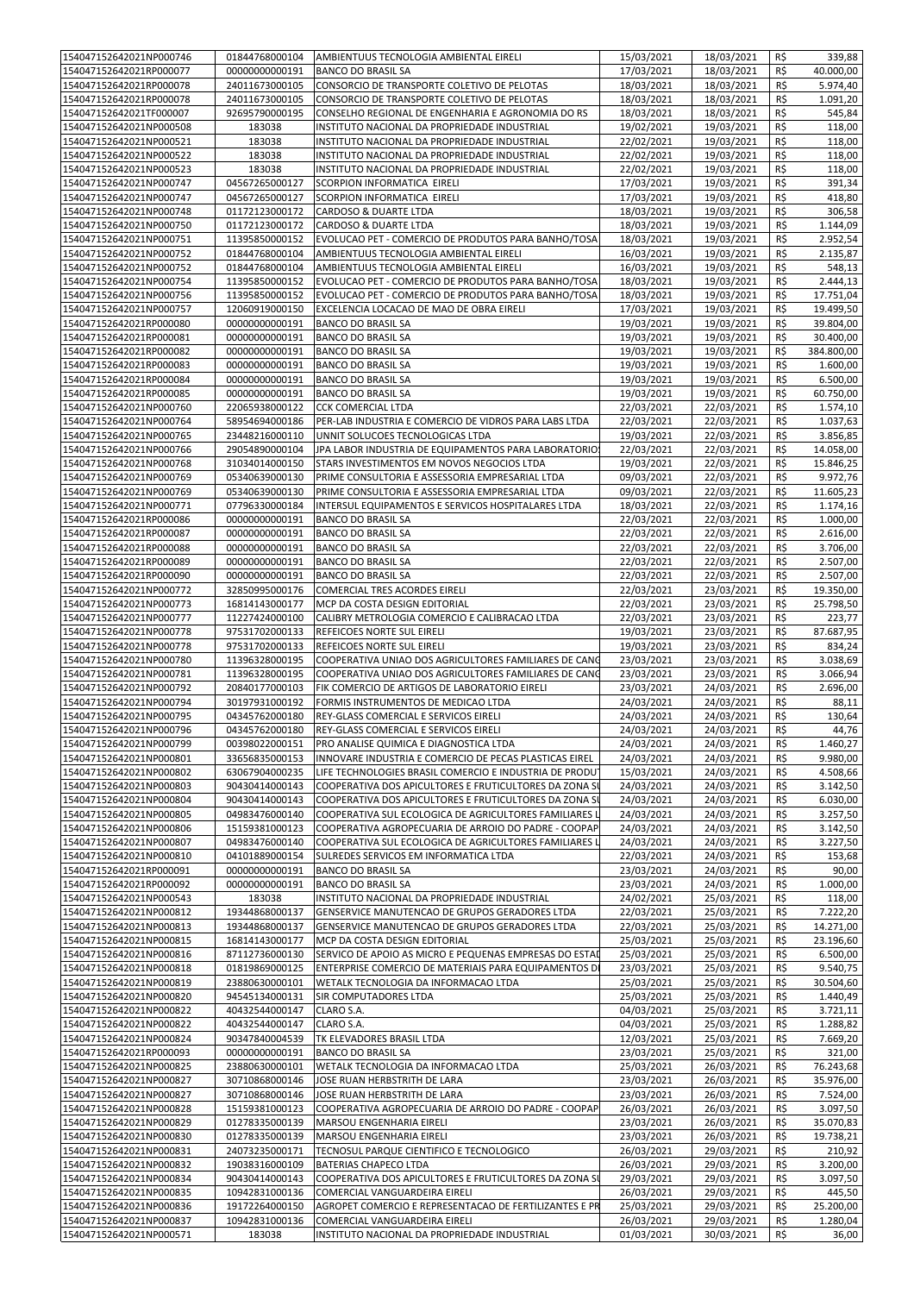| 154047152642021NP000746                            | 01844768000104                   | AMBIENTUUS TECNOLOGIA AMBIENTAL EIRELI                            | 15/03/2021               | 18/03/2021               | R\$        | 339,88              |
|----------------------------------------------------|----------------------------------|-------------------------------------------------------------------|--------------------------|--------------------------|------------|---------------------|
| 154047152642021RP000077                            | 00000000000191                   | <b>BANCO DO BRASIL SA</b>                                         | 17/03/2021               | 18/03/2021               | R\$        | 40.000,00           |
| 154047152642021RP000078                            | 24011673000105                   | CONSORCIO DE TRANSPORTE COLETIVO DE PELOTAS                       | 18/03/2021               | 18/03/2021               | R\$        | 5.974,40            |
| 154047152642021RP000078                            | 24011673000105                   | CONSORCIO DE TRANSPORTE COLETIVO DE PELOTAS                       | 18/03/2021               | 18/03/2021               | R\$        | 1.091,20            |
| 154047152642021TF000007                            | 92695790000195                   | CONSELHO REGIONAL DE ENGENHARIA E AGRONOMIA DO RS                 | 18/03/2021               | 18/03/2021               | R\$        | 545,84              |
| 154047152642021NP000508                            | 183038                           | INSTITUTO NACIONAL DA PROPRIEDADE INDUSTRIAL                      | 19/02/2021               | 19/03/2021               | R\$        | 118,00              |
| 154047152642021NP000521                            | 183038                           | INSTITUTO NACIONAL DA PROPRIEDADE INDUSTRIAL                      | 22/02/2021               | 19/03/2021               | R\$        | 118,00              |
| 154047152642021NP000522                            | 183038                           | INSTITUTO NACIONAL DA PROPRIEDADE INDUSTRIAL                      | 22/02/2021               | 19/03/2021               | R\$        | 118,00              |
| 154047152642021NP000523                            | 183038                           | INSTITUTO NACIONAL DA PROPRIEDADE INDUSTRIAL                      | 22/02/2021               | 19/03/2021               | R\$        | 118,00              |
| 154047152642021NP000747                            | 04567265000127                   | SCORPION INFORMATICA EIRELI                                       | 17/03/2021               | 19/03/2021               | R\$        | 391,34              |
| 154047152642021NP000747                            | 04567265000127                   | SCORPION INFORMATICA EIRELI                                       | 17/03/2021               | 19/03/2021               | R\$        | 418,80              |
| 154047152642021NP000748                            | 01172123000172                   | CARDOSO & DUARTE LTDA                                             | 18/03/2021               | 19/03/2021               | R\$        | 306,58              |
| 154047152642021NP000750                            | 01172123000172                   | CARDOSO & DUARTE LTDA                                             | 18/03/2021               | 19/03/2021               | R\$        | 1.144,09            |
| 154047152642021NP000751                            | 11395850000152                   | EVOLUCAO PET - COMERCIO DE PRODUTOS PARA BANHO/TOSA               | 18/03/2021               | 19/03/2021               | R\$        | 2.952,54            |
| 154047152642021NP000752                            | 01844768000104                   | AMBIENTUUS TECNOLOGIA AMBIENTAL EIRELI                            | 16/03/2021               | 19/03/2021               | R\$        | 2.135,87            |
| 154047152642021NP000752                            | 01844768000104                   | AMBIENTUUS TECNOLOGIA AMBIENTAL EIRELI                            | 16/03/2021               | 19/03/2021               | R\$        | 548,13              |
| 154047152642021NP000754                            | 11395850000152                   | EVOLUCAO PET - COMERCIO DE PRODUTOS PARA BANHO/TOSA               | 18/03/2021               | 19/03/2021               | R\$        | 2.444,13            |
| 154047152642021NP000756                            | 11395850000152                   | EVOLUCAO PET - COMERCIO DE PRODUTOS PARA BANHO/TOSA               | 18/03/2021               | 19/03/2021               | R\$        | 17.751,04           |
| 154047152642021NP000757                            | 12060919000150                   | EXCELENCIA LOCACAO DE MAO DE OBRA EIRELI                          | 17/03/2021               | 19/03/2021               | R\$        | 19.499,50           |
| 154047152642021RP000080                            | 00000000000191                   | <b>BANCO DO BRASIL SA</b>                                         | 19/03/2021               | 19/03/2021               | R\$        | 39.804,00           |
| 154047152642021RP000081                            | 00000000000191                   | <b>BANCO DO BRASIL SA</b>                                         | 19/03/2021               | 19/03/2021               | R\$        | 30.400,00           |
| 154047152642021RP000082                            | 00000000000191                   | <b>BANCO DO BRASIL SA</b>                                         | 19/03/2021               | 19/03/2021               | R\$        | 384.800,00          |
| 154047152642021RP000083                            | 00000000000191                   | <b>BANCO DO BRASIL SA</b>                                         | 19/03/2021               | 19/03/2021               | R\$        | 1.600,00            |
| 154047152642021RP000084                            | 00000000000191                   | <b>BANCO DO BRASIL SA</b>                                         | 19/03/2021               | 19/03/2021               | R\$        | 6.500,00            |
| 154047152642021RP000085                            | 00000000000191                   | <b>BANCO DO BRASIL SA</b>                                         | 19/03/2021               | 19/03/2021               | R\$        | 60.750,00           |
| 154047152642021NP000760                            | 22065938000122                   | <b>CCK COMERCIAL LTDA</b>                                         | 22/03/2021               | 22/03/2021               | R\$        | 1.574,10            |
| 154047152642021NP000764                            | 58954694000186                   | PER-LAB INDUSTRIA E COMERCIO DE VIDROS PARA LABS LTDA             | 22/03/2021               | 22/03/2021               | R\$        | 1.037,63            |
| 154047152642021NP000765                            | 23448216000110                   | UNNIT SOLUCOES TECNOLOGICAS LTDA                                  | 19/03/2021               | 22/03/2021               | R\$        | 3.856,85            |
| 154047152642021NP000766                            | 29054890000104                   | JPA LABOR INDUSTRIA DE EQUIPAMENTOS PARA LABORATORIOS             | 22/03/2021               | 22/03/2021               | R\$        | 14.058,00           |
| 154047152642021NP000768                            | 31034014000150                   | STARS INVESTIMENTOS EM NOVOS NEGOCIOS LTDA                        | 19/03/2021               | 22/03/2021               | R\$        | 15.846,25           |
| 154047152642021NP000769                            | 05340639000130                   | PRIME CONSULTORIA E ASSESSORIA EMPRESARIAL LTDA                   | 09/03/2021               | 22/03/2021               | R\$        | 9.972,76            |
| 154047152642021NP000769                            | 05340639000130                   | PRIME CONSULTORIA E ASSESSORIA EMPRESARIAL LTDA                   | 09/03/2021               | 22/03/2021               | R\$        | 11.605,23           |
| 154047152642021NP000771                            | 07796330000184                   | INTERSUL EQUIPAMENTOS E SERVICOS HOSPITALARES LTDA                | 18/03/2021               | 22/03/2021               | R\$        | 1.174,16            |
| 154047152642021RP000086                            | 00000000000191                   | <b>BANCO DO BRASIL SA</b>                                         | 22/03/2021               | 22/03/2021               | R\$        | 1.000,00            |
| 154047152642021RP000087                            | 00000000000191                   | <b>BANCO DO BRASIL SA</b>                                         | 22/03/2021               | 22/03/2021               | R\$        | 2.616,00            |
| 154047152642021RP000088                            | 00000000000191                   | <b>BANCO DO BRASIL SA</b>                                         | 22/03/2021               | 22/03/2021               | R\$        | 3.706,00            |
| 154047152642021RP000089                            | 00000000000191                   | <b>BANCO DO BRASIL SA</b>                                         | 22/03/2021               | 22/03/2021               | R\$        | 2.507,00            |
| 154047152642021RP000090                            | 00000000000191                   | <b>BANCO DO BRASIL SA</b>                                         | 22/03/2021               | 22/03/2021               | R\$        | 2.507,00            |
| 154047152642021NP000772                            | 32850995000176                   | COMERCIAL TRES ACORDES EIRELI                                     | 22/03/2021               | 23/03/2021               | R\$        | 19.350,00           |
| 154047152642021NP000773                            | 16814143000177                   | MCP DA COSTA DESIGN EDITORIAL                                     | 22/03/2021               | 23/03/2021               | R\$        | 25.798,50           |
| 154047152642021NP000777                            | 11227424000100                   | CALIBRY METROLOGIA COMERCIO E CALIBRACAO LTDA                     | 22/03/2021               | 23/03/2021               | R\$        | 223,77              |
| 154047152642021NP000778                            | 97531702000133                   | REFEICOES NORTE SUL EIRELI                                        | 19/03/2021               | 23/03/2021               | R\$        | 87.687,95           |
| 154047152642021NP000778                            | 97531702000133                   | REFEICOES NORTE SUL EIRELI                                        | 19/03/2021               | 23/03/2021               | R\$        | 834,24              |
| 154047152642021NP000780                            | 11396328000195                   | COOPERATIVA UNIAO DOS AGRICULTORES FAMILIARES DE CANG             | 23/03/2021               | 23/03/2021               | R\$        | 3.038,69            |
| 154047152642021NP000781                            | 11396328000195                   | COOPERATIVA UNIAO DOS AGRICULTORES FAMILIARES DE CANO             | 23/03/2021               | 23/03/2021               | R\$        | 3.066,94            |
| 154047152642021NP000792                            | 20840177000103                   | FIK COMERCIO DE ARTIGOS DE LABORATORIO EIRELI                     | 23/03/2021               | 24/03/2021               | R\$        | 2.696,00            |
| 154047152642021NP000794                            | 30197931000192                   | FORMIS INSTRUMENTOS DE MEDICAO LTDA                               | 24/03/2021               | 24/03/2021               | R\$        | 88,11               |
| 154047152642021NP000795                            | 04345762000180                   | REY-GLASS COMERCIAL E SERVICOS EIRELI                             | 24/03/2021               | 24/03/2021               | R\$        | 130,64              |
| 154047152642021NP000796                            | 04345762000180                   | REY-GLASS COMERCIAL E SERVICOS EIRELI                             | 24/03/2021               | 24/03/2021               | R\$        | 44,76               |
| 154047152642021NP000799                            | 00398022000151                   | PRO ANALISE QUIMICA E DIAGNOSTICA LTDA                            | 24/03/2021               | 24/03/2021               | R\$        | 1.460,27            |
| 154047152642021NP000801                            | 33656835000153                   | INNOVARE INDUSTRIA E COMERCIO DE PECAS PLASTICAS EIREL            | 24/03/2021               | 24/03/2021               | R\$        | 9.980,00            |
| 154047152642021NP000802                            | 63067904000235                   | LIFE TECHNOLOGIES BRASIL COMERCIO E INDUSTRIA DE PRODU'           | 15/03/2021               | 24/03/2021               | R\$        | 4.508,66            |
| 154047152642021NP000803                            | 90430414000143                   | COOPERATIVA DOS APICULTORES E FRUTICULTORES DA ZONA SU            | 24/03/2021               | 24/03/2021               | R\$        | 3.142,50            |
| 154047152642021NP000804                            | 90430414000143                   | COOPERATIVA DOS APICULTORES E FRUTICULTORES DA ZONA SU            | 24/03/2021               | 24/03/2021               | R\$        | 6.030,00            |
| 154047152642021NP000805                            | 04983476000140                   | COOPERATIVA SUL ECOLOGICA DE AGRICULTORES FAMILIARES L            | 24/03/2021               | 24/03/2021               | R\$        | 3.257,50            |
| 154047152642021NP000806                            | 15159381000123                   | COOPERATIVA AGROPECUARIA DE ARROIO DO PADRE - COOPAP              | 24/03/2021               | 24/03/2021               | R\$        | 3.142,50            |
| 154047152642021NP000807                            | 04983476000140                   | COOPERATIVA SUL ECOLOGICA DE AGRICULTORES FAMILIARES L            | 24/03/2021               | 24/03/2021               | R\$        | 3.227,50            |
| 154047152642021NP000810                            | 04101889000154                   | SULREDES SERVICOS EM INFORMATICA LTDA                             | 22/03/2021               | 24/03/2021               | R\$        | 153,68              |
| 154047152642021RP000091                            | 00000000000191                   | <b>BANCO DO BRASIL SA</b>                                         | 23/03/2021               | 24/03/2021               | R\$        | 90,00               |
| 154047152642021RP000092                            | 00000000000191                   | <b>BANCO DO BRASIL SA</b>                                         | 23/03/2021               | 24/03/2021               | R\$        | 1.000,00            |
| 154047152642021NP000543                            | 183038                           | INSTITUTO NACIONAL DA PROPRIEDADE INDUSTRIAL                      | 24/02/2021               | 25/03/2021               | R\$        | 118,00              |
| 154047152642021NP000812                            | 19344868000137                   | GENSERVICE MANUTENCAO DE GRUPOS GERADORES LTDA                    | 22/03/2021               | 25/03/2021               | R\$        | 7.222,20            |
| 154047152642021NP000813                            | 19344868000137                   | GENSERVICE MANUTENCAO DE GRUPOS GERADORES LTDA                    | 22/03/2021               | 25/03/2021               | R\$        | 14.271,00           |
| 154047152642021NP000815                            | 16814143000177                   | MCP DA COSTA DESIGN EDITORIAL                                     | 25/03/2021               | 25/03/2021               | R\$        | 23.196,60           |
| 154047152642021NP000816                            | 87112736000130                   | SERVICO DE APOIO AS MICRO E PEQUENAS EMPRESAS DO ESTAD            | 25/03/2021               | 25/03/2021               | R\$        | 6.500,00            |
| 154047152642021NP000818                            | 01819869000125                   | ENTERPRISE COMERCIO DE MATERIAIS PARA EQUIPAMENTOS DI             | 23/03/2021               | 25/03/2021               | R\$        | 9.540,75            |
| 154047152642021NP000819                            | 23880630000101                   | WETALK TECNOLOGIA DA INFORMACAO LTDA                              | 25/03/2021               | 25/03/2021               | R\$        | 30.504,60           |
| 154047152642021NP000820                            | 94545134000131                   | SIR COMPUTADORES LTDA                                             | 25/03/2021               | 25/03/2021               | R\$        | 1.440,49            |
| 154047152642021NP000822                            | 40432544000147                   | CLARO S.A.                                                        | 04/03/2021               | 25/03/2021               | R\$        | 3.721,11            |
| 154047152642021NP000822                            | 40432544000147                   | CLARO S.A.                                                        | 04/03/2021               | 25/03/2021               | R\$        | 1.288,82            |
| 154047152642021NP000824                            | 90347840004539                   | TK ELEVADORES BRASIL LTDA                                         | 12/03/2021               | 25/03/2021               | R\$        | 7.669,20            |
| 154047152642021RP000093<br>154047152642021NP000825 | 00000000000191<br>23880630000101 | <b>BANCO DO BRASIL SA</b><br>WETALK TECNOLOGIA DA INFORMACAO LTDA | 23/03/2021<br>25/03/2021 | 25/03/2021<br>26/03/2021 | R\$<br>R\$ | 321,00<br>76.243,68 |
| 154047152642021NP000827                            | 30710868000146                   | JOSE RUAN HERBSTRITH DE LARA                                      | 23/03/2021               | 26/03/2021               | R\$        | 35.976,00           |
| 154047152642021NP000827                            | 30710868000146                   | JOSE RUAN HERBSTRITH DE LARA                                      | 23/03/2021               | 26/03/2021               | R\$        | 7.524,00            |
| 154047152642021NP000828                            | 15159381000123                   | COOPERATIVA AGROPECUARIA DE ARROIO DO PADRE - COOPAP              | 26/03/2021               | 26/03/2021               | R\$        | 3.097,50            |
| 154047152642021NP000829                            | 01278335000139                   | MARSOU ENGENHARIA EIRELI                                          | 23/03/2021               | 26/03/2021               | R\$        | 35.070,83           |
| 154047152642021NP000830                            | 01278335000139                   | MARSOU ENGENHARIA EIRELI                                          | 23/03/2021               | 26/03/2021               | R\$        | 19.738,21           |
| 154047152642021NP000831                            | 24073235000171                   | TECNOSUL PARQUE CIENTIFICO E TECNOLOGICO                          | 26/03/2021               | 29/03/2021               | R\$        | 210,92              |
| 154047152642021NP000832                            | 19038316000109                   | <b>BATERIAS CHAPECO LTDA</b>                                      | 26/03/2021               | 29/03/2021               | R\$        | 3.200,00            |
| 154047152642021NP000834                            | 90430414000143                   | COOPERATIVA DOS APICULTORES E FRUTICULTORES DA ZONA SU            | 29/03/2021               | 29/03/2021               | R\$        | 3.097,50            |
| 154047152642021NP000835                            | 10942831000136                   | COMERCIAL VANGUARDEIRA EIRELI                                     | 26/03/2021               | 29/03/2021               | R\$        | 445,50              |
| 154047152642021NP000836                            | 19172264000150                   | AGROPET COMERCIO E REPRESENTACAO DE FERTILIZANTES E PR            | 25/03/2021               | 29/03/2021               | R\$        | 25.200,00           |
| 154047152642021NP000837                            | 10942831000136                   | COMERCIAL VANGUARDEIRA EIRELI                                     | 26/03/2021               | 29/03/2021               | R\$        | 1.280,04            |
| 154047152642021NP000571                            | 183038                           | INSTITUTO NACIONAL DA PROPRIEDADE INDUSTRIAL                      | 01/03/2021               | 30/03/2021               | R\$        | 36,00               |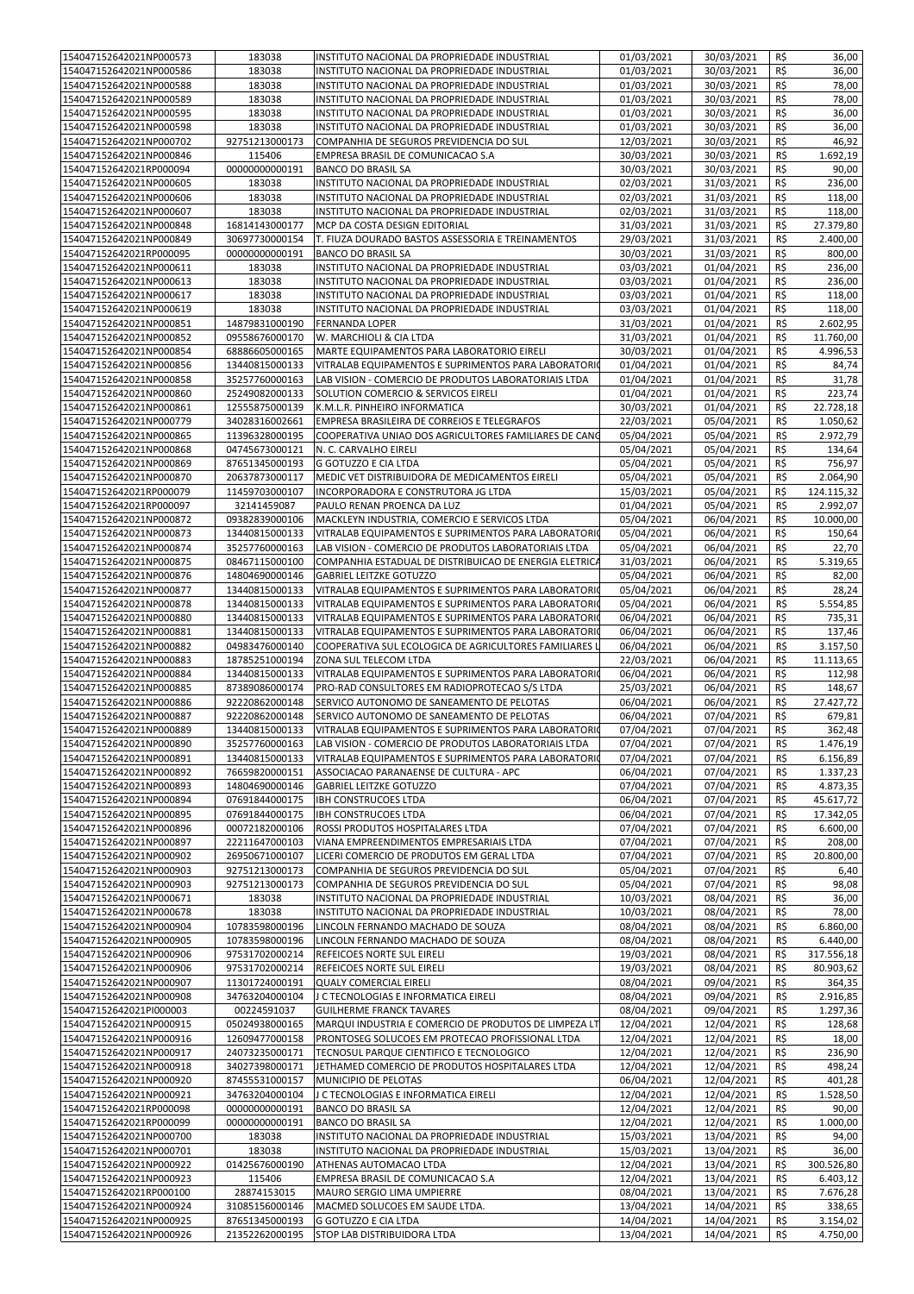| 154047152642021NP000573 | 183038         | INSTITUTO NACIONAL DA PROPRIEDADE INDUSTRIAL                          | 01/03/2021 | 30/03/2021 | R\$ | 36,00      |
|-------------------------|----------------|-----------------------------------------------------------------------|------------|------------|-----|------------|
| 154047152642021NP000586 | 183038         | INSTITUTO NACIONAL DA PROPRIEDADE INDUSTRIAL                          | 01/03/2021 | 30/03/2021 | R\$ | 36,00      |
| 154047152642021NP000588 | 183038         | INSTITUTO NACIONAL DA PROPRIEDADE INDUSTRIAL                          | 01/03/2021 | 30/03/2021 | R\$ | 78,00      |
|                         |                |                                                                       |            |            |     |            |
| 154047152642021NP000589 | 183038         | INSTITUTO NACIONAL DA PROPRIEDADE INDUSTRIAL                          | 01/03/2021 | 30/03/2021 | R\$ | 78,00      |
| 154047152642021NP000595 | 183038         | INSTITUTO NACIONAL DA PROPRIEDADE INDUSTRIAL                          | 01/03/2021 | 30/03/2021 | R\$ | 36,00      |
| 154047152642021NP000598 | 183038         | INSTITUTO NACIONAL DA PROPRIEDADE INDUSTRIAL                          | 01/03/2021 | 30/03/2021 | R\$ | 36,00      |
| 154047152642021NP000702 | 92751213000173 | COMPANHIA DE SEGUROS PREVIDENCIA DO SUL                               | 12/03/2021 | 30/03/2021 | R\$ | 46,92      |
| 154047152642021NP000846 | 115406         | EMPRESA BRASIL DE COMUNICACAO S.A                                     | 30/03/2021 | 30/03/2021 | R\$ | 1.692,19   |
| 154047152642021RP000094 | 00000000000191 | <b>BANCO DO BRASIL SA</b>                                             | 30/03/2021 | 30/03/2021 | R\$ | 90,00      |
| 154047152642021NP000605 | 183038         | INSTITUTO NACIONAL DA PROPRIEDADE INDUSTRIAL                          | 02/03/2021 | 31/03/2021 | R\$ | 236,00     |
|                         |                |                                                                       |            |            |     |            |
| 154047152642021NP000606 | 183038         | INSTITUTO NACIONAL DA PROPRIEDADE INDUSTRIAL                          | 02/03/2021 | 31/03/2021 | R\$ | 118,00     |
| 154047152642021NP000607 | 183038         | INSTITUTO NACIONAL DA PROPRIEDADE INDUSTRIAL                          | 02/03/2021 | 31/03/2021 | R\$ | 118,00     |
| 154047152642021NP000848 | 16814143000177 | MCP DA COSTA DESIGN EDITORIAL                                         | 31/03/2021 | 31/03/2021 | R\$ | 27.379,80  |
| 154047152642021NP000849 | 30697730000154 | T. FIUZA DOURADO BASTOS ASSESSORIA E TREINAMENTOS                     | 29/03/2021 | 31/03/2021 | R\$ | 2.400,00   |
| 154047152642021RP000095 | 00000000000191 | <b>BANCO DO BRASIL SA</b>                                             | 30/03/2021 | 31/03/2021 | R\$ | 800,00     |
| 154047152642021NP000611 | 183038         | INSTITUTO NACIONAL DA PROPRIEDADE INDUSTRIAL                          | 03/03/2021 | 01/04/2021 | R\$ | 236,00     |
| 154047152642021NP000613 | 183038         | INSTITUTO NACIONAL DA PROPRIEDADE INDUSTRIAL                          | 03/03/2021 | 01/04/2021 | R\$ | 236,00     |
| 154047152642021NP000617 | 183038         | INSTITUTO NACIONAL DA PROPRIEDADE INDUSTRIAL                          | 03/03/2021 | 01/04/2021 | R\$ | 118,00     |
| 154047152642021NP000619 | 183038         | INSTITUTO NACIONAL DA PROPRIEDADE INDUSTRIAL                          | 03/03/2021 | 01/04/2021 | R\$ | 118,00     |
|                         |                |                                                                       |            |            |     |            |
| 154047152642021NP000851 | 14879831000190 | <b>FERNANDA LOPER</b>                                                 | 31/03/2021 | 01/04/2021 | R\$ | 2.602,95   |
| 154047152642021NP000852 | 09558676000170 | W. MARCHIOLI & CIA LTDA                                               | 31/03/2021 | 01/04/2021 | R\$ | 11.760,00  |
| 154047152642021NP000854 | 68886605000165 | MARTE EQUIPAMENTOS PARA LABORATORIO EIRELI                            | 30/03/2021 | 01/04/2021 | R\$ | 4.996,53   |
| 154047152642021NP000856 | 13440815000133 | VITRALAB EQUIPAMENTOS E SUPRIMENTOS PARA LABORATORIO                  | 01/04/2021 | 01/04/2021 | R\$ | 84,74      |
| 154047152642021NP000858 | 35257760000163 | LAB VISION - COMERCIO DE PRODUTOS LABORATORIAIS LTDA                  | 01/04/2021 | 01/04/2021 | R\$ | 31,78      |
| 154047152642021NP000860 | 25249082000133 | SOLUTION COMERCIO & SERVICOS EIRELI                                   | 01/04/2021 | 01/04/2021 | R\$ | 223,74     |
| 154047152642021NP000861 | 12555875000139 | K.M.L.R. PINHEIRO INFORMATICA                                         | 30/03/2021 | 01/04/2021 | R\$ | 22.728,18  |
| 154047152642021NP000779 | 34028316002661 | EMPRESA BRASILEIRA DE CORREIOS E TELEGRAFOS                           | 22/03/2021 | 05/04/2021 | R\$ | 1.050,62   |
| 154047152642021NP000865 | 11396328000195 | COOPERATIVA UNIAO DOS AGRICULTORES FAMILIARES DE CANG                 | 05/04/2021 | 05/04/2021 | R\$ | 2.972,79   |
|                         |                |                                                                       |            |            |     |            |
| 154047152642021NP000868 | 04745673000121 | N. C. CARVALHO EIRELI                                                 | 05/04/2021 | 05/04/2021 | R\$ | 134,64     |
| 154047152642021NP000869 | 87651345000193 | <b>G GOTUZZO E CIA LTDA</b>                                           | 05/04/2021 | 05/04/2021 | R\$ | 756,97     |
| 154047152642021NP000870 | 20637873000117 | MEDIC VET DISTRIBUIDORA DE MEDICAMENTOS EIRELI                        | 05/04/2021 | 05/04/2021 | R\$ | 2.064,90   |
| 154047152642021RP000079 | 11459703000107 | INCORPORADORA E CONSTRUTORA JG LTDA                                   | 15/03/2021 | 05/04/2021 | R\$ | 124.115,32 |
| 154047152642021RP000097 | 32141459087    | PAULO RENAN PROENCA DA LUZ                                            | 01/04/2021 | 05/04/2021 | R\$ | 2.992,07   |
| 154047152642021NP000872 | 09382839000106 | MACKLEYN INDUSTRIA, COMERCIO E SERVICOS LTDA                          | 05/04/2021 | 06/04/2021 | R\$ | 10.000,00  |
| 154047152642021NP000873 | 13440815000133 | VITRALAB EQUIPAMENTOS E SUPRIMENTOS PARA LABORATORIO                  | 05/04/2021 | 06/04/2021 | R\$ | 150,64     |
|                         |                | LAB VISION - COMERCIO DE PRODUTOS LABORATORIAIS LTDA                  |            |            |     |            |
| 154047152642021NP000874 | 35257760000163 |                                                                       | 05/04/2021 | 06/04/2021 | R\$ | 22,70      |
| 154047152642021NP000875 | 08467115000100 | COMPANHIA ESTADUAL DE DISTRIBUICAO DE ENERGIA ELETRICA                | 31/03/2021 | 06/04/2021 | R\$ | 5.319,65   |
| 154047152642021NP000876 | 14804690000146 | <b>GABRIEL LEITZKE GOTUZZO</b>                                        | 05/04/2021 | 06/04/2021 | R\$ | 82,00      |
| 154047152642021NP000877 | 13440815000133 | VITRALAB EQUIPAMENTOS E SUPRIMENTOS PARA LABORATORIO                  | 05/04/2021 | 06/04/2021 | R\$ | 28,24      |
| 154047152642021NP000878 | 13440815000133 | VITRALAB EQUIPAMENTOS E SUPRIMENTOS PARA LABORATORIO                  | 05/04/2021 | 06/04/2021 | R\$ | 5.554,85   |
| 154047152642021NP000880 | 13440815000133 | VITRALAB EQUIPAMENTOS E SUPRIMENTOS PARA LABORATORIO                  | 06/04/2021 | 06/04/2021 | R\$ | 735,31     |
| 154047152642021NP000881 | 13440815000133 | VITRALAB EQUIPAMENTOS E SUPRIMENTOS PARA LABORATORIO                  | 06/04/2021 | 06/04/2021 | R\$ | 137,46     |
| 154047152642021NP000882 | 04983476000140 | COOPERATIVA SUL ECOLOGICA DE AGRICULTORES FAMILIARES I                | 06/04/2021 | 06/04/2021 | R\$ | 3.157,50   |
| 154047152642021NP000883 | 18785251000194 | ZONA SUL TELECOM LTDA                                                 | 22/03/2021 | 06/04/2021 | R\$ | 11.113,65  |
| 154047152642021NP000884 | 13440815000133 | VITRALAB EQUIPAMENTOS E SUPRIMENTOS PARA LABORATORIO                  | 06/04/2021 | 06/04/2021 | R\$ | 112,98     |
| 154047152642021NP000885 | 87389086000174 | PRO-RAD CONSULTORES EM RADIOPROTECAO S/S LTDA                         | 25/03/2021 | 06/04/2021 | R\$ | 148,67     |
|                         |                |                                                                       |            |            |     |            |
| 154047152642021NP000886 | 92220862000148 | SERVICO AUTONOMO DE SANEAMENTO DE PELOTAS                             | 06/04/2021 | 06/04/2021 | R\$ | 27.427,72  |
| 154047152642021NP000887 | 92220862000148 | SERVICO AUTONOMO DE SANEAMENTO DE PELOTAS                             | 06/04/2021 | 07/04/2021 | R\$ | 679,81     |
| 154047152642021NP000889 | 13440815000133 | VITRALAB EQUIPAMENTOS E SUPRIMENTOS PARA LABORATORIO                  | 07/04/2021 | 07/04/2021 | R\$ | 362,48     |
| 154047152642021NP000890 |                | 35257760000163   LAB VISION - COMERCIO DE PRODUTOS LABORATORIAIS LTDA | 07/04/2021 | 07/04/2021 | R\$ | 1.476,19   |
| 154047152642021NP000891 | 13440815000133 | VITRALAB EQUIPAMENTOS E SUPRIMENTOS PARA LABORATORIO                  | 07/04/2021 | 07/04/2021 | R\$ | 6.156,89   |
| 154047152642021NP000892 | 76659820000151 | ASSOCIACAO PARANAENSE DE CULTURA - APC                                | 06/04/2021 | 07/04/2021 | R\$ | 1.337,23   |
| 154047152642021NP000893 | 14804690000146 | <b>GABRIEL LEITZKE GOTUZZO</b>                                        | 07/04/2021 | 07/04/2021 | R\$ | 4.873,35   |
| 154047152642021NP000894 | 07691844000175 | <b>IBH CONSTRUCOES LTDA</b>                                           | 06/04/2021 | 07/04/2021 | R\$ | 45.617,72  |
| 154047152642021NP000895 | 07691844000175 | <b>IBH CONSTRUCOES LTDA</b>                                           | 06/04/2021 | 07/04/2021 | R\$ | 17.342,05  |
| 154047152642021NP000896 | 00072182000106 | ROSSI PRODUTOS HOSPITALARES LTDA                                      | 07/04/2021 | 07/04/2021 | R\$ | 6.600,00   |
|                         |                |                                                                       |            |            |     |            |
| 154047152642021NP000897 | 22211647000103 | VIANA EMPREENDIMENTOS EMPRESARIAIS LTDA                               | 07/04/2021 | 07/04/2021 | R\$ | 208,00     |
| 154047152642021NP000902 | 26950671000107 | LICERI COMERCIO DE PRODUTOS EM GERAL LTDA                             | 07/04/2021 | 07/04/2021 | R\$ | 20.800,00  |
| 154047152642021NP000903 | 92751213000173 | COMPANHIA DE SEGUROS PREVIDENCIA DO SUL                               | 05/04/2021 | 07/04/2021 | R\$ | 6,40       |
| 154047152642021NP000903 | 92751213000173 | COMPANHIA DE SEGUROS PREVIDENCIA DO SUL                               | 05/04/2021 | 07/04/2021 | R\$ | 98,08      |
| 154047152642021NP000671 | 183038         | INSTITUTO NACIONAL DA PROPRIEDADE INDUSTRIAL                          | 10/03/2021 | 08/04/2021 | R\$ | 36,00      |
| 154047152642021NP000678 | 183038         | INSTITUTO NACIONAL DA PROPRIEDADE INDUSTRIAL                          | 10/03/2021 | 08/04/2021 | R\$ | 78,00      |
| 154047152642021NP000904 | 10783598000196 | LINCOLN FERNANDO MACHADO DE SOUZA                                     | 08/04/2021 | 08/04/2021 | R\$ | 6.860,00   |
| 154047152642021NP000905 | 10783598000196 | LINCOLN FERNANDO MACHADO DE SOUZA                                     | 08/04/2021 | 08/04/2021 | R\$ | 6.440,00   |
| 154047152642021NP000906 | 97531702000214 | REFEICOES NORTE SUL EIRELI                                            | 19/03/2021 | 08/04/2021 | R\$ | 317.556,18 |
| 154047152642021NP000906 | 97531702000214 | REFEICOES NORTE SUL EIRELI                                            | 19/03/2021 | 08/04/2021 | R\$ | 80.903,62  |
|                         |                |                                                                       |            |            |     |            |
| 154047152642021NP000907 | 11301724000191 | <b>QUALY COMERCIAL EIRELI</b>                                         | 08/04/2021 | 09/04/2021 | R\$ | 364,35     |
| 154047152642021NP000908 | 34763204000104 | J C TECNOLOGIAS E INFORMATICA EIRELI                                  | 08/04/2021 | 09/04/2021 | R\$ | 2.916,85   |
| 154047152642021Pl000003 | 00224591037    | <b>GUILHERME FRANCK TAVARES</b>                                       | 08/04/2021 | 09/04/2021 | R\$ | 1.297,36   |
| 154047152642021NP000915 | 05024938000165 | MARQUI INDUSTRIA E COMERCIO DE PRODUTOS DE LIMPEZA LT                 | 12/04/2021 | 12/04/2021 | R\$ | 128,68     |
| 154047152642021NP000916 | 12609477000158 | PRONTOSEG SOLUCOES EM PROTECAO PROFISSIONAL LTDA                      | 12/04/2021 | 12/04/2021 | R\$ | 18,00      |
| 154047152642021NP000917 | 24073235000171 | TECNOSUL PARQUE CIENTIFICO E TECNOLOGICO                              | 12/04/2021 | 12/04/2021 | R\$ | 236,90     |
| 154047152642021NP000918 | 34027398000171 | JETHAMED COMERCIO DE PRODUTOS HOSPITALARES LTDA                       | 12/04/2021 | 12/04/2021 | R\$ | 498,24     |
| 154047152642021NP000920 | 87455531000157 | MUNICIPIO DE PELOTAS                                                  | 06/04/2021 | 12/04/2021 | R\$ | 401,28     |
| 154047152642021NP000921 | 34763204000104 | J C TECNOLOGIAS E INFORMATICA EIRELI                                  | 12/04/2021 | 12/04/2021 | R\$ | 1.528,50   |
| 154047152642021RP000098 | 00000000000191 | <b>BANCO DO BRASIL SA</b>                                             | 12/04/2021 | 12/04/2021 | R\$ | 90,00      |
| 154047152642021RP000099 | 00000000000191 | <b>BANCO DO BRASIL SA</b>                                             | 12/04/2021 | 12/04/2021 | R\$ | 1.000,00   |
|                         |                |                                                                       |            |            |     |            |
| 154047152642021NP000700 | 183038         | INSTITUTO NACIONAL DA PROPRIEDADE INDUSTRIAL                          | 15/03/2021 | 13/04/2021 | R\$ | 94,00      |
| 154047152642021NP000701 | 183038         | INSTITUTO NACIONAL DA PROPRIEDADE INDUSTRIAL                          | 15/03/2021 | 13/04/2021 | R\$ | 36,00      |
| 154047152642021NP000922 | 01425676000190 | ATHENAS AUTOMACAO LTDA                                                | 12/04/2021 | 13/04/2021 | R\$ | 300.526,80 |
| 154047152642021NP000923 | 115406         | EMPRESA BRASIL DE COMUNICACAO S.A                                     | 12/04/2021 | 13/04/2021 | R\$ | 6.403,12   |
| 154047152642021RP000100 | 28874153015    | MAURO SERGIO LIMA UMPIERRE                                            | 08/04/2021 | 13/04/2021 | R\$ | 7.676,28   |
| 154047152642021NP000924 | 31085156000146 | MACMED SOLUCOES EM SAUDE LTDA.                                        | 13/04/2021 | 14/04/2021 | R\$ | 338,65     |
| 154047152642021NP000925 | 87651345000193 | G GOTUZZO E CIA LTDA                                                  | 14/04/2021 | 14/04/2021 | R\$ | 3.154,02   |
| 154047152642021NP000926 | 21352262000195 | STOP LAB DISTRIBUIDORA LTDA                                           | 13/04/2021 | 14/04/2021 | R\$ | 4.750,00   |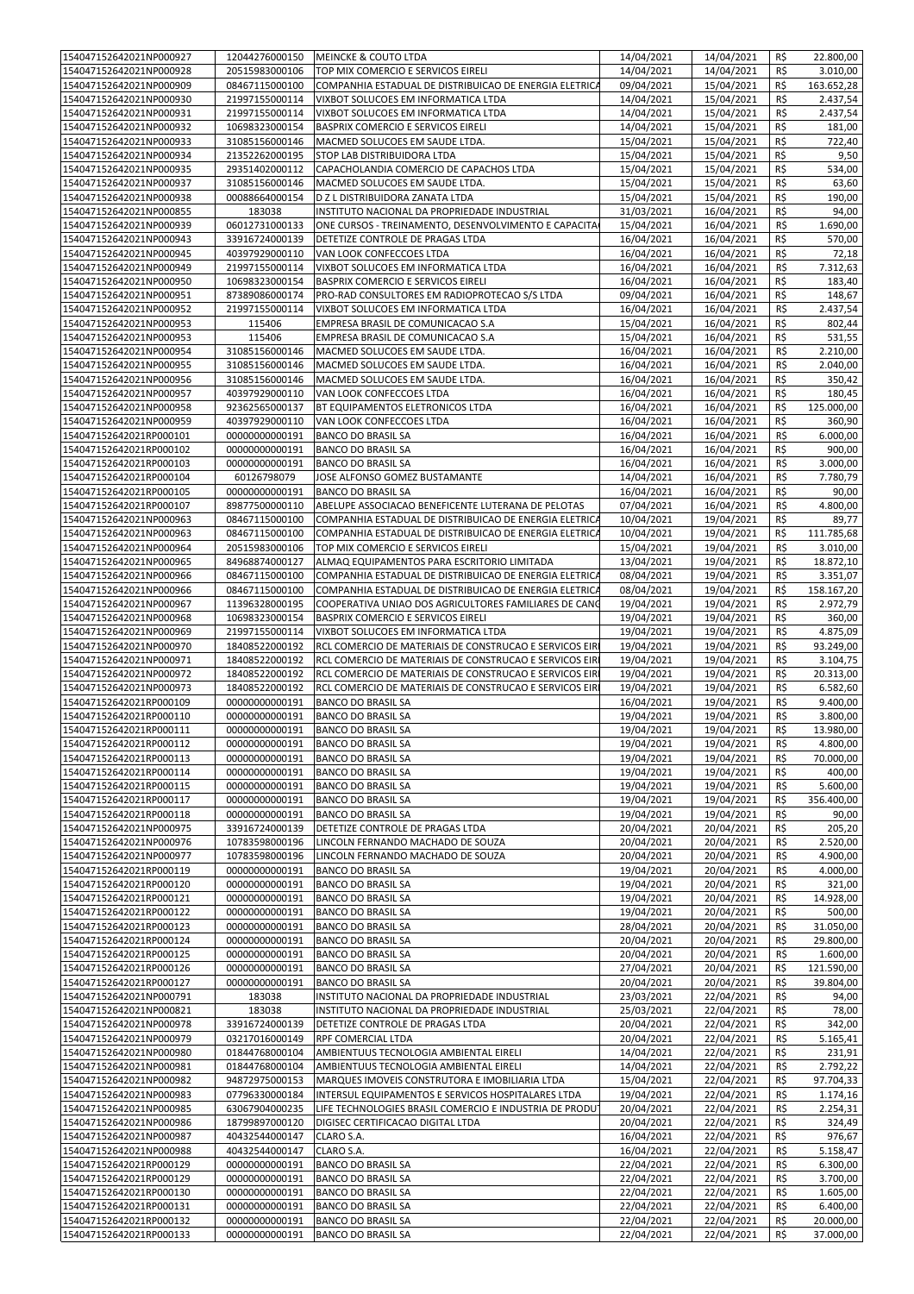| 154047152642021NP000927 | 12044276000150 | <b>MEINCKE &amp; COUTO LTDA</b>                         | 14/04/2021 | 14/04/2021 | R\$ | 22.800,00  |
|-------------------------|----------------|---------------------------------------------------------|------------|------------|-----|------------|
| 154047152642021NP000928 | 20515983000106 | TOP MIX COMERCIO E SERVICOS EIRELI                      | 14/04/2021 | 14/04/2021 | R\$ | 3.010,00   |
| 154047152642021NP000909 | 08467115000100 | COMPANHIA ESTADUAL DE DISTRIBUICAO DE ENERGIA ELETRICA  | 09/04/2021 | 15/04/2021 | R\$ | 163.652,28 |
| 154047152642021NP000930 | 21997155000114 | VIXBOT SOLUCOES EM INFORMATICA LTDA                     | 14/04/2021 | 15/04/2021 | R\$ | 2.437,54   |
|                         |                |                                                         |            |            |     |            |
| 154047152642021NP000931 | 21997155000114 | VIXBOT SOLUCOES EM INFORMATICA LTDA                     | 14/04/2021 | 15/04/2021 | R\$ | 2.437,54   |
| 154047152642021NP000932 | 10698323000154 | BASPRIX COMERCIO E SERVICOS EIRELI                      | 14/04/2021 | 15/04/2021 | R\$ | 181,00     |
| 154047152642021NP000933 | 31085156000146 | MACMED SOLUCOES EM SAUDE LTDA.                          | 15/04/2021 | 15/04/2021 | R\$ | 722,40     |
| 154047152642021NP000934 | 21352262000195 | STOP LAB DISTRIBUIDORA LTDA                             | 15/04/2021 | 15/04/2021 | R\$ | 9,50       |
| 154047152642021NP000935 | 29351402000112 | CAPACHOLANDIA COMERCIO DE CAPACHOS LTDA                 | 15/04/2021 | 15/04/2021 | R\$ | 534,00     |
| 154047152642021NP000937 | 31085156000146 | MACMED SOLUCOES EM SAUDE LTDA.                          | 15/04/2021 | 15/04/2021 | R\$ | 63,60      |
| 154047152642021NP000938 | 00088664000154 | D Z L DISTRIBUIDORA ZANATA LTDA                         | 15/04/2021 | 15/04/2021 | R\$ | 190,00     |
| 154047152642021NP000855 | 183038         | INSTITUTO NACIONAL DA PROPRIEDADE INDUSTRIAL            | 31/03/2021 | 16/04/2021 | R\$ | 94,00      |
| 154047152642021NP000939 | 06012731000133 | ONE CURSOS - TREINAMENTO, DESENVOLVIMENTO E CAPACITA    | 15/04/2021 | 16/04/2021 | R\$ | 1.690,00   |
|                         |                |                                                         |            |            |     |            |
| 154047152642021NP000943 | 33916724000139 | DETETIZE CONTROLE DE PRAGAS LTDA                        | 16/04/2021 | 16/04/2021 | R\$ | 570,00     |
| 154047152642021NP000945 | 40397929000110 | VAN LOOK CONFECCOES LTDA                                | 16/04/2021 | 16/04/2021 | R\$ | 72,18      |
| 154047152642021NP000949 | 21997155000114 | VIXBOT SOLUCOES EM INFORMATICA LTDA                     | 16/04/2021 | 16/04/2021 | R\$ | 7.312,63   |
| 154047152642021NP000950 | 10698323000154 | BASPRIX COMERCIO E SERVICOS EIRELI                      | 16/04/2021 | 16/04/2021 | R\$ | 183,40     |
| 154047152642021NP000951 | 87389086000174 | PRO-RAD CONSULTORES EM RADIOPROTECAO S/S LTDA           | 09/04/2021 | 16/04/2021 | R\$ | 148,67     |
| 154047152642021NP000952 | 21997155000114 | VIXBOT SOLUCOES EM INFORMATICA LTDA                     | 16/04/2021 | 16/04/2021 | R\$ | 2.437,54   |
| 154047152642021NP000953 | 115406         | EMPRESA BRASIL DE COMUNICACAO S.A                       | 15/04/2021 | 16/04/2021 | R\$ | 802,44     |
| 154047152642021NP000953 | 115406         | EMPRESA BRASIL DE COMUNICACAO S.A                       | 15/04/2021 | 16/04/2021 | R\$ | 531,55     |
|                         |                |                                                         |            |            |     |            |
| 154047152642021NP000954 | 31085156000146 | MACMED SOLUCOES EM SAUDE LTDA.                          | 16/04/2021 | 16/04/2021 | R\$ | 2.210,00   |
| 154047152642021NP000955 | 31085156000146 | MACMED SOLUCOES EM SAUDE LTDA.                          | 16/04/2021 | 16/04/2021 | R\$ | 2.040,00   |
| 154047152642021NP000956 | 31085156000146 | MACMED SOLUCOES EM SAUDE LTDA.                          | 16/04/2021 | 16/04/2021 | R\$ | 350,42     |
| 154047152642021NP000957 | 40397929000110 | VAN LOOK CONFECCOES LTDA                                | 16/04/2021 | 16/04/2021 | R\$ | 180,45     |
| 154047152642021NP000958 | 92362565000137 | BT EQUIPAMENTOS ELETRONICOS LTDA                        | 16/04/2021 | 16/04/2021 | R\$ | 125.000,00 |
| 154047152642021NP000959 | 40397929000110 | VAN LOOK CONFECCOES LTDA                                | 16/04/2021 | 16/04/2021 | R\$ | 360,90     |
| 154047152642021RP000101 | 00000000000191 | <b>BANCO DO BRASIL SA</b>                               | 16/04/2021 | 16/04/2021 | R\$ | 6.000,00   |
| 154047152642021RP000102 |                | <b>BANCO DO BRASIL SA</b>                               | 16/04/2021 | 16/04/2021 | R\$ | 900,00     |
|                         | 00000000000191 |                                                         |            |            |     |            |
| 154047152642021RP000103 | 00000000000191 | <b>BANCO DO BRASIL SA</b>                               | 16/04/2021 | 16/04/2021 | R\$ | 3.000,00   |
| 154047152642021RP000104 | 60126798079    | JOSE ALFONSO GOMEZ BUSTAMANTE                           | 14/04/2021 | 16/04/2021 | R\$ | 7.780,79   |
| 154047152642021RP000105 | 00000000000191 | <b>BANCO DO BRASIL SA</b>                               | 16/04/2021 | 16/04/2021 | R\$ | 90,00      |
| 154047152642021RP000107 | 89877500000110 | ABELUPE ASSOCIACAO BENEFICENTE LUTERANA DE PELOTAS      | 07/04/2021 | 16/04/2021 | R\$ | 4.800,00   |
| 154047152642021NP000963 | 08467115000100 | COMPANHIA ESTADUAL DE DISTRIBUICAO DE ENERGIA ELETRICA  | 10/04/2021 | 19/04/2021 | R\$ | 89,77      |
| 154047152642021NP000963 | 08467115000100 | COMPANHIA ESTADUAL DE DISTRIBUICAO DE ENERGIA ELETRICA  | 10/04/2021 | 19/04/2021 | R\$ | 111.785,68 |
| 154047152642021NP000964 | 20515983000106 | TOP MIX COMERCIO E SERVICOS EIRELI                      | 15/04/2021 | 19/04/2021 | R\$ | 3.010,00   |
| 154047152642021NP000965 | 84968874000127 | ALMAQ EQUIPAMENTOS PARA ESCRITORIO LIMITADA             | 13/04/2021 | 19/04/2021 | R\$ | 18.872,10  |
|                         |                |                                                         |            |            |     |            |
| 154047152642021NP000966 | 08467115000100 | COMPANHIA ESTADUAL DE DISTRIBUICAO DE ENERGIA ELETRICA  | 08/04/2021 | 19/04/2021 | R\$ | 3.351,07   |
| 154047152642021NP000966 | 08467115000100 | COMPANHIA ESTADUAL DE DISTRIBUICAO DE ENERGIA ELETRICA  | 08/04/2021 | 19/04/2021 | R\$ | 158.167,20 |
| 154047152642021NP000967 | 11396328000195 | COOPERATIVA UNIAO DOS AGRICULTORES FAMILIARES DE CANO   | 19/04/2021 | 19/04/2021 | R\$ | 2.972,79   |
| 154047152642021NP000968 | 10698323000154 | BASPRIX COMERCIO E SERVICOS EIRELI                      | 19/04/2021 | 19/04/2021 | R\$ | 360,00     |
| 154047152642021NP000969 | 21997155000114 | VIXBOT SOLUCOES EM INFORMATICA LTDA                     | 19/04/2021 | 19/04/2021 | R\$ | 4.875,09   |
| 154047152642021NP000970 | 18408522000192 | RCL COMERCIO DE MATERIAIS DE CONSTRUCAO E SERVICOS EIRI | 19/04/2021 | 19/04/2021 | R\$ | 93.249,00  |
| 154047152642021NP000971 | 18408522000192 | RCL COMERCIO DE MATERIAIS DE CONSTRUCAO E SERVICOS EIRI | 19/04/2021 | 19/04/2021 | R\$ | 3.104,75   |
| 154047152642021NP000972 | 18408522000192 | RCL COMERCIO DE MATERIAIS DE CONSTRUCAO E SERVICOS EIRI | 19/04/2021 | 19/04/2021 | R\$ | 20.313,00  |
|                         |                |                                                         |            |            |     |            |
| 154047152642021NP000973 | 18408522000192 | RCL COMERCIO DE MATERIAIS DE CONSTRUCAO E SERVICOS EIRI | 19/04/2021 | 19/04/2021 | R\$ | 6.582,60   |
| 154047152642021RP000109 | 00000000000191 | <b>BANCO DO BRASIL SA</b>                               | 16/04/2021 | 19/04/2021 | R\$ | 9.400,00   |
| 154047152642021RP000110 | 00000000000191 | <b>BANCO DO BRASIL SA</b>                               | 19/04/2021 | 19/04/2021 | R\$ | 3.800,00   |
| 154047152642021RP000111 | 00000000000191 | <b>BANCO DO BRASIL SA</b>                               | 19/04/2021 | 19/04/2021 | R\$ | 13.980,00  |
| 154047152642021RP000112 | 00000000000191 | <b>BANCO DO BRASIL SA</b>                               | 19/04/2021 | 19/04/2021 | R\$ | 4.800,00   |
| 154047152642021RP000113 | 00000000000191 | <b>BANCO DO BRASIL SA</b>                               | 19/04/2021 | 19/04/2021 | R\$ | 70.000,00  |
| 154047152642021RP000114 | 00000000000191 | <b>BANCO DO BRASIL SA</b>                               | 19/04/2021 | 19/04/2021 | R\$ | 400,00     |
| 154047152642021RP000115 | 00000000000191 | BANCO DO BRASIL SA                                      | 19/04/2021 | 19/04/2021 | R\$ | 5.600,00   |
| 154047152642021RP000117 | 00000000000191 | BANCO DO BRASIL SA                                      | 19/04/2021 | 19/04/2021 | R\$ | 356.400,00 |
| 154047152642021RP000118 |                |                                                         |            |            |     |            |
|                         | 00000000000191 | <b>BANCO DO BRASIL SA</b>                               | 19/04/2021 | 19/04/2021 | R\$ | 90,00      |
| 154047152642021NP000975 | 33916724000139 | DETETIZE CONTROLE DE PRAGAS LTDA                        | 20/04/2021 | 20/04/2021 | R\$ | 205,20     |
| 154047152642021NP000976 | 10783598000196 | LINCOLN FERNANDO MACHADO DE SOUZA                       | 20/04/2021 | 20/04/2021 | R\$ | 2.520,00   |
| 154047152642021NP000977 | 10783598000196 | LINCOLN FERNANDO MACHADO DE SOUZA                       | 20/04/2021 | 20/04/2021 | R\$ | 4.900,00   |
| 154047152642021RP000119 | 00000000000191 | BANCO DO BRASIL SA                                      | 19/04/2021 | 20/04/2021 | R\$ | 4.000,00   |
| 154047152642021RP000120 | 00000000000191 | <b>BANCO DO BRASIL SA</b>                               | 19/04/2021 | 20/04/2021 | R\$ | 321,00     |
| 154047152642021RP000121 | 00000000000191 | <b>BANCO DO BRASIL SA</b>                               | 19/04/2021 | 20/04/2021 | R\$ | 14.928,00  |
| 154047152642021RP000122 | 00000000000191 | <b>BANCO DO BRASIL SA</b>                               | 19/04/2021 | 20/04/2021 | R\$ | 500,00     |
| 154047152642021RP000123 | 00000000000191 | <b>BANCO DO BRASIL SA</b>                               | 28/04/2021 | 20/04/2021 | R\$ | 31.050,00  |
| 154047152642021RP000124 | 00000000000191 | <b>BANCO DO BRASIL SA</b>                               | 20/04/2021 | 20/04/2021 | R\$ | 29.800,00  |
| 154047152642021RP000125 | 00000000000191 |                                                         |            |            | R\$ |            |
|                         |                | <b>BANCO DO BRASIL SA</b>                               | 20/04/2021 | 20/04/2021 |     | 1.600,00   |
| 154047152642021RP000126 | 00000000000191 | <b>BANCO DO BRASIL SA</b>                               | 27/04/2021 | 20/04/2021 | R\$ | 121.590,00 |
| 154047152642021RP000127 | 00000000000191 | <b>BANCO DO BRASIL SA</b>                               | 20/04/2021 | 20/04/2021 | R\$ | 39.804,00  |
| 154047152642021NP000791 | 183038         | INSTITUTO NACIONAL DA PROPRIEDADE INDUSTRIAL            | 23/03/2021 | 22/04/2021 | R\$ | 94,00      |
| 154047152642021NP000821 | 183038         | INSTITUTO NACIONAL DA PROPRIEDADE INDUSTRIAL            | 25/03/2021 | 22/04/2021 | R\$ | 78,00      |
| 154047152642021NP000978 | 33916724000139 | DETETIZE CONTROLE DE PRAGAS LTDA                        | 20/04/2021 | 22/04/2021 | R\$ | 342,00     |
| 154047152642021NP000979 | 03217016000149 | RPF COMERCIAL LTDA                                      | 20/04/2021 | 22/04/2021 | R\$ | 5.165,41   |
| 154047152642021NP000980 | 01844768000104 | AMBIENTUUS TECNOLOGIA AMBIENTAL EIRELI                  | 14/04/2021 | 22/04/2021 | R\$ | 231,91     |
| 154047152642021NP000981 | 01844768000104 | AMBIENTUUS TECNOLOGIA AMBIENTAL EIRELI                  | 14/04/2021 | 22/04/2021 | R\$ | 2.792,22   |
| 154047152642021NP000982 | 94872975000153 | MARQUES IMOVEIS CONSTRUTORA E IMOBILIARIA LTDA          | 15/04/2021 | 22/04/2021 | R\$ | 97.704,33  |
|                         |                |                                                         |            |            |     |            |
| 154047152642021NP000983 | 07796330000184 | INTERSUL EQUIPAMENTOS E SERVICOS HOSPITALARES LTDA      | 19/04/2021 | 22/04/2021 | R\$ | 1.174,16   |
| 154047152642021NP000985 | 63067904000235 | LIFE TECHNOLOGIES BRASIL COMERCIO E INDUSTRIA DE PRODU' | 20/04/2021 | 22/04/2021 | R\$ | 2.254,31   |
| 154047152642021NP000986 | 18799897000120 | DIGISEC CERTIFICACAO DIGITAL LTDA                       | 20/04/2021 | 22/04/2021 | R\$ | 324,49     |
| 154047152642021NP000987 | 40432544000147 | CLARO S.A.                                              | 16/04/2021 | 22/04/2021 | R\$ | 976,67     |
| 154047152642021NP000988 | 40432544000147 | CLARO S.A.                                              | 16/04/2021 | 22/04/2021 | R\$ | 5.158,47   |
| 154047152642021RP000129 | 00000000000191 | <b>BANCO DO BRASIL SA</b>                               | 22/04/2021 | 22/04/2021 | R\$ | 6.300,00   |
| 154047152642021RP000129 | 00000000000191 | <b>BANCO DO BRASIL SA</b>                               | 22/04/2021 | 22/04/2021 | R\$ | 3.700,00   |
| 154047152642021RP000130 | 00000000000191 | <b>BANCO DO BRASIL SA</b>                               | 22/04/2021 | 22/04/2021 | R\$ | 1.605,00   |
| 154047152642021RP000131 | 00000000000191 | <b>BANCO DO BRASIL SA</b>                               | 22/04/2021 | 22/04/2021 | R\$ | 6.400,00   |
|                         |                |                                                         |            |            |     |            |
| 154047152642021RP000132 | 00000000000191 | <b>BANCO DO BRASIL SA</b>                               | 22/04/2021 | 22/04/2021 | R\$ | 20.000,00  |
| 154047152642021RP000133 | 00000000000191 | <b>BANCO DO BRASIL SA</b>                               | 22/04/2021 | 22/04/2021 | R\$ | 37.000,00  |